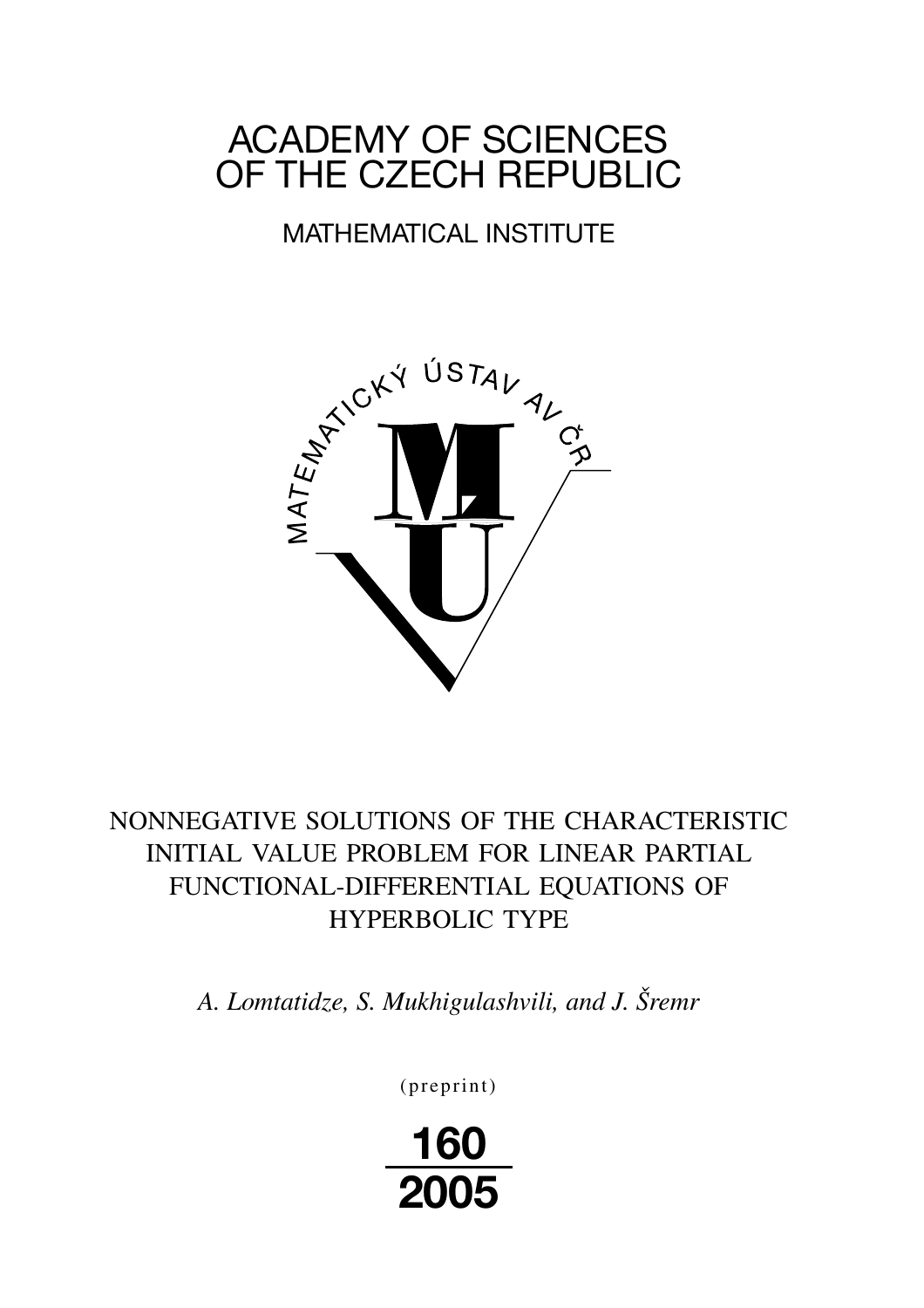# ACADEMY OF SCIENCES OF THE CZECH REPUBLIC

## MATHEMATICAL INSTITUTE



## NONNEGATIVE SOLUTIONS OF THE CHARACTERISTIC INITIAL VALUE PROBLEM FOR LINEAR PARTIAL FUNCTIONAL-DIFFERENTIAL EQUATIONS OF HYPERBOLIC TYPE

*A. Lomtatidze, S. Mukhigulashvili, and J. Šremr*

(preprint)

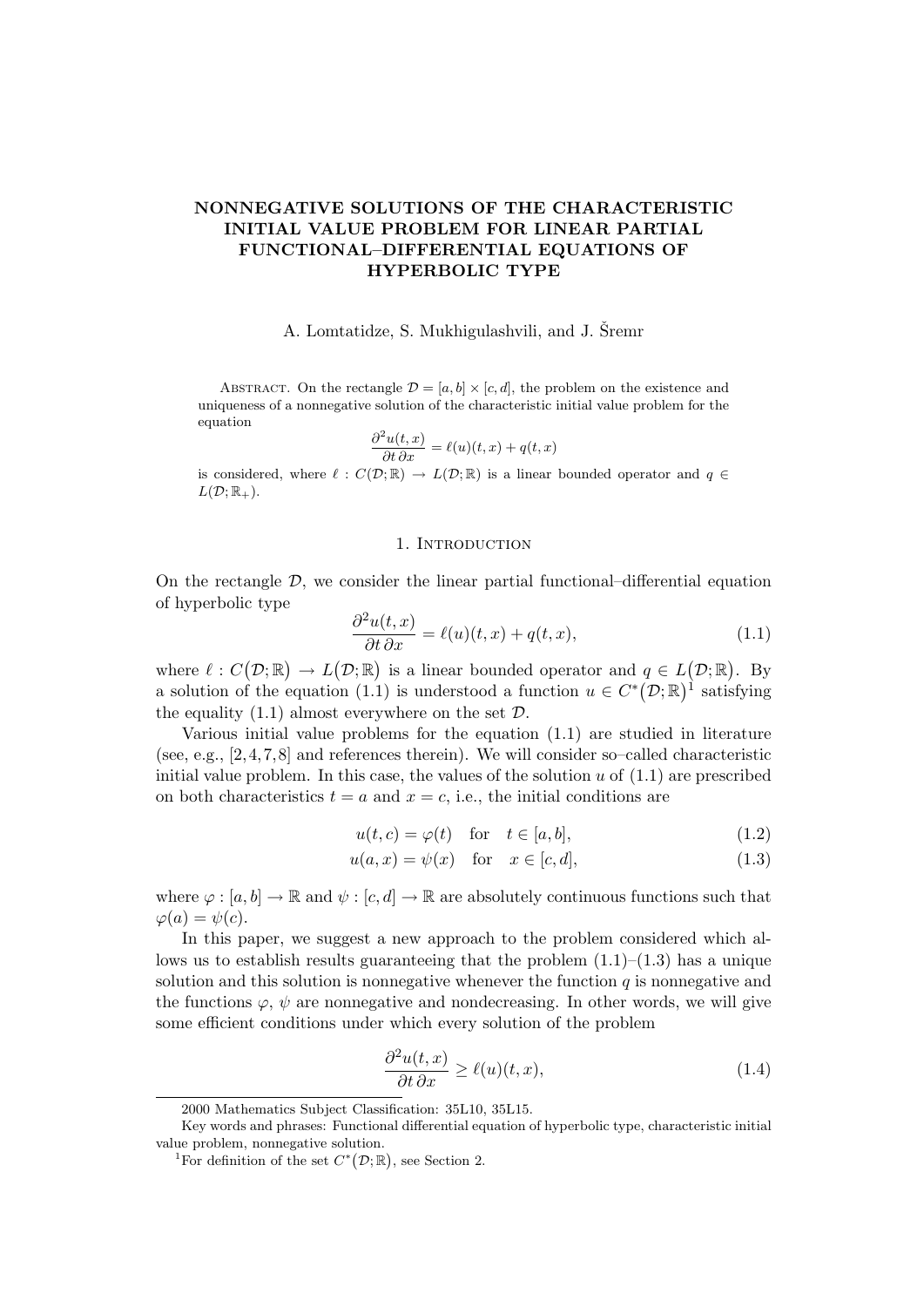## NONNEGATIVE SOLUTIONS OF THE CHARACTERISTIC INITIAL VALUE PROBLEM FOR LINEAR PARTIAL FUNCTIONAL–DIFFERENTIAL EQUATIONS OF HYPERBOLIC TYPE

#### A. Lomtatidze, S. Mukhigulashvili, and J. Šremr

ABSTRACT. On the rectangle  $\mathcal{D} = [a, b] \times [c, d]$ , the problem on the existence and uniqueness of a nonnegative solution of the characteristic initial value problem for the equation

$$
\frac{\partial^2 u(t,x)}{\partial t \partial x} = \ell(u)(t,x) + q(t,x)
$$

is considered, where  $\ell : C(\mathcal{D}; \mathbb{R}) \to L(\mathcal{D}; \mathbb{R})$  is a linear bounded operator and  $q \in$  $L(\mathcal{D};\mathbb{R}_+).$ 

#### 1. INTRODUCTION

On the rectangle  $\mathcal{D}$ , we consider the linear partial functional–differential equation of hyperbolic type

$$
\frac{\partial^2 u(t,x)}{\partial t \partial x} = \ell(u)(t,x) + q(t,x),\tag{1.1}
$$

where  $\ell : C(\mathcal{D}; \mathbb{R}) \to L(\mathcal{D}; \mathbb{R})$  is a linear bounded operator and  $q \in L(\mathcal{D}; \mathbb{R})$ . By a solution of the equation (1.1) is understood a function  $u \in C^*(\mathcal{D};\mathbb{R})^1$  satisfying the equality  $(1.1)$  almost everywhere on the set  $\mathcal{D}$ .

Various initial value problems for the equation (1.1) are studied in literature (see, e.g.,  $[2, 4, 7, 8]$  and references therein). We will consider so–called characteristic initial value problem. In this case, the values of the solution  $u$  of  $(1.1)$  are prescribed on both characteristics  $t = a$  and  $x = c$ , i.e., the initial conditions are

$$
u(t,c) = \varphi(t) \quad \text{for} \quad t \in [a,b], \tag{1.2}
$$

$$
u(a,x) = \psi(x) \quad \text{for} \quad x \in [c,d], \tag{1.3}
$$

where  $\varphi : [a, b] \to \mathbb{R}$  and  $\psi : [c, d] \to \mathbb{R}$  are absolutely continuous functions such that  $\varphi(a) = \psi(c)$ .

In this paper, we suggest a new approach to the problem considered which allows us to establish results guaranteeing that the problem  $(1.1)$ – $(1.3)$  has a unique solution and this solution is nonnegative whenever the function  $q$  is nonnegative and the functions  $\varphi, \psi$  are nonnegative and nondecreasing. In other words, we will give some efficient conditions under which every solution of the problem

$$
\frac{\partial^2 u(t,x)}{\partial t \partial x} \ge \ell(u)(t,x),\tag{1.4}
$$

<sup>2000</sup> Mathematics Subject Classification: 35L10, 35L15.

Key words and phrases: Functional differential equation of hyperbolic type, characteristic initial value problem, nonnegative solution.

<sup>&</sup>lt;sup>1</sup>For definition of the set  $C^*(\mathcal{D}; \mathbb{R})$ , see Section 2.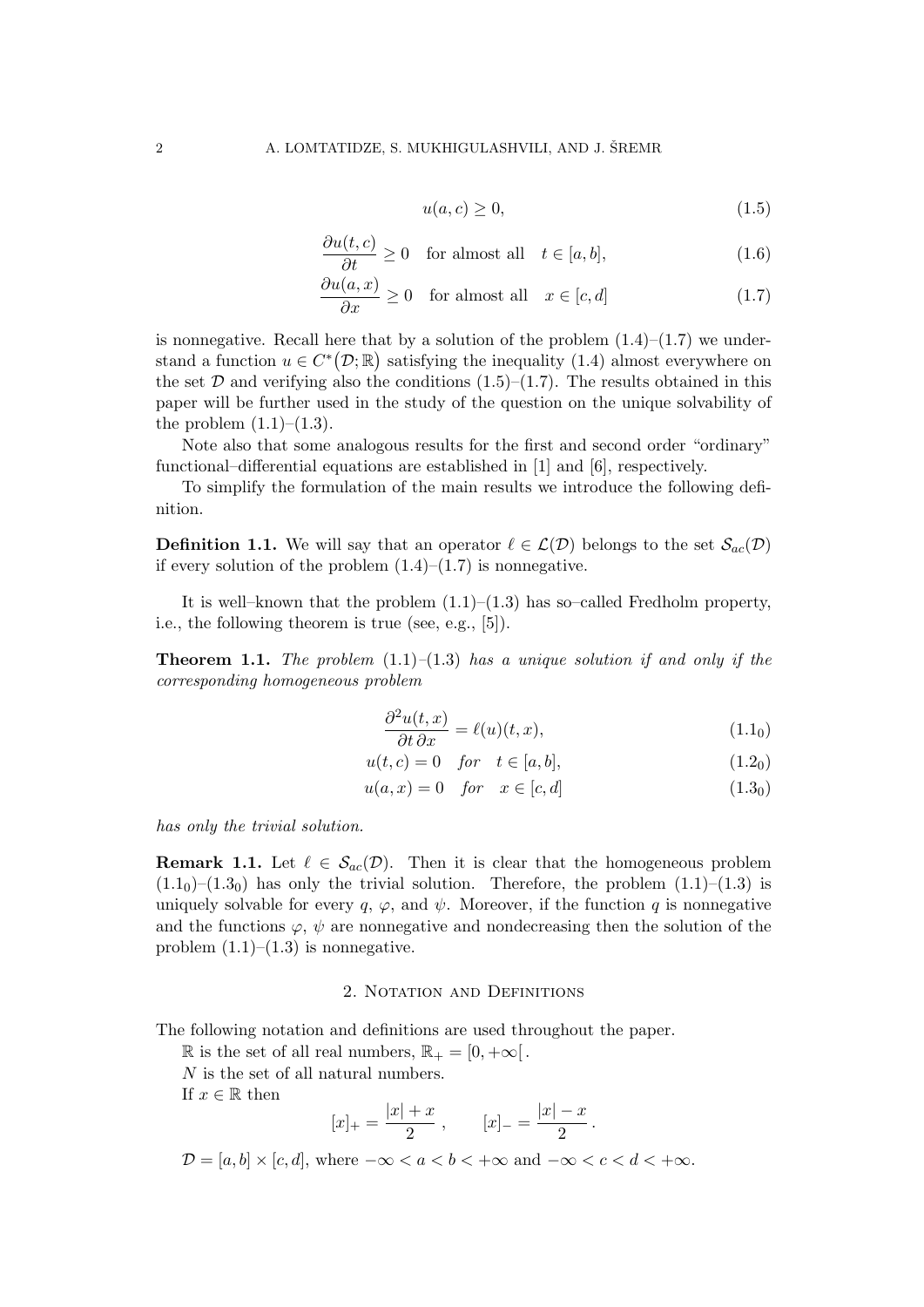$$
u(a,c) \ge 0,\tag{1.5}
$$

$$
\frac{\partial u(t, c)}{\partial t} \ge 0 \quad \text{for almost all} \quad t \in [a, b], \tag{1.6}
$$

$$
\frac{\partial u(a,x)}{\partial x} \ge 0 \quad \text{for almost all} \quad x \in [c,d] \tag{1.7}
$$

is nonnegative. Recall here that by a solution of the problem  $(1.4)$ – $(1.7)$  we understand a function  $u \in C^*(\mathcal{D}; \mathbb{R})$  satisfying the inequality (1.4) almost everywhere on the set  $D$  and verifying also the conditions  $(1.5)$ – $(1.7)$ . The results obtained in this paper will be further used in the study of the question on the unique solvability of the problem  $(1.1)–(1.3)$ .

Note also that some analogous results for the first and second order "ordinary" functional–differential equations are established in [1] and [6], respectively.

To simplify the formulation of the main results we introduce the following definition.

**Definition 1.1.** We will say that an operator  $\ell \in \mathcal{L}(\mathcal{D})$  belongs to the set  $\mathcal{S}_{ac}(\mathcal{D})$ if every solution of the problem  $(1.4)$ – $(1.7)$  is nonnegative.

It is well–known that the problem  $(1.1)$ – $(1.3)$  has so–called Fredholm property, i.e., the following theorem is true (see, e.g., [5]).

**Theorem 1.1.** The problem  $(1.1)-(1.3)$  has a unique solution if and only if the corresponding homogeneous problem

$$
\frac{\partial^2 u(t, x)}{\partial t \partial x} = \ell(u)(t, x), \tag{1.10}
$$

$$
u(t,c) = 0 \quad \text{for} \quad t \in [a,b], \tag{1.20}
$$

$$
u(a,x) = 0 \quad \text{for} \quad x \in [c,d] \tag{1.30}
$$

has only the trivial solution.

**Remark 1.1.** Let  $\ell \in S_{ac}(\mathcal{D})$ . Then it is clear that the homogeneous problem  $(1.1<sub>0</sub>)-(1.3<sub>0</sub>)$  has only the trivial solution. Therefore, the problem  $(1.1)-(1.3)$  is uniquely solvable for every q,  $\varphi$ , and  $\psi$ . Moreover, if the function q is nonnegative and the functions  $\varphi$ ,  $\psi$  are nonnegative and nondecreasing then the solution of the problem  $(1.1)$ – $(1.3)$  is nonnegative.

#### 2. NOTATION AND DEFINITIONS

The following notation and definitions are used throughout the paper.

 $ℝ$  is the set of all real numbers,  $ℝ<sub>+</sub> = [0, +∞[$ .

N is the set of all natural numbers.

If  $x \in \mathbb{R}$  then

$$
[x]_+ = \frac{|x| + x}{2} \,, \qquad [x]_- = \frac{|x| - x}{2} \,.
$$

 $\mathcal{D} = [a, b] \times [c, d]$ , where  $-\infty < a < b < +\infty$  and  $-\infty < c < d < +\infty$ .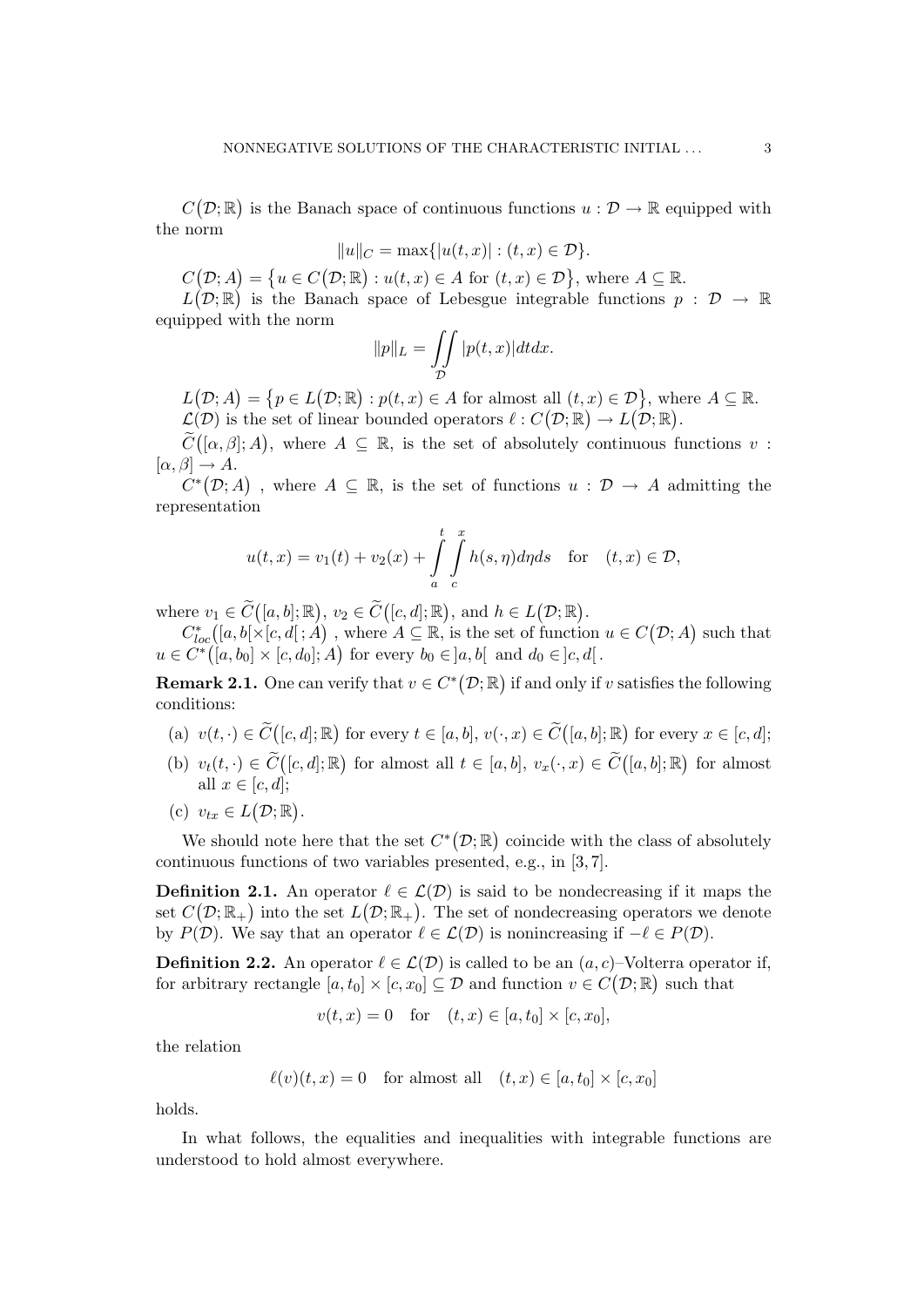$C(\mathcal{D};\mathbb{R})$  is the Banach space of continuous functions  $u : \mathcal{D} \to \mathbb{R}$  equipped with the norm

$$
||u||_C = \max\{|u(t,x)| : (t,x) \in \mathcal{D}\}.
$$

 $C(\mathcal{D}; A) = \{u \in C(\mathcal{D}; \mathbb{R}) : u(t, x) \in A \text{ for } (t, x) \in \mathcal{D}\},\$  where  $A \subseteq \mathbb{R}$ .

 $L(D;\mathbb{R})$  is the Banach space of Lebesgue integrable functions  $p : D \to \mathbb{R}$ equipped with the norm

$$
||p||_L = \iint\limits_{\mathcal{D}} |p(t,x)| dt dx.
$$

 $L(\mathcal{D}; A) = \{p \in L(\mathcal{D}; \mathbb{R}) : p(t, x) \in A \text{ for almost all } (t, x) \in \mathcal{D}\}, \text{ where } A \subseteq \mathbb{R}.$  $\mathcal{L}(\mathcal{D})$  is the set of linear bounded operators  $\ell : C(\mathcal{D}; \mathbb{R}) \to L(\mathcal{D}; \mathbb{R})$ .

 $\widetilde{C}([\alpha, \beta]; A)$ , where  $A \subseteq \mathbb{R}$ , is the set of absolutely continuous functions  $v$ :  $[\alpha, \beta] \rightarrow A$ .

 $C^*(\mathcal{D};A)$ , where  $A\subseteq\mathbb{R}$ , is the set of functions  $u: \mathcal{D} \to A$  admitting the representation

$$
u(t,x) = v_1(t) + v_2(x) + \int_a^t \int_c^x h(s,\eta)d\eta ds \quad \text{for} \quad (t,x) \in \mathcal{D},
$$

where  $v_1 \in \widetilde{C}([a, b]; \mathbb{R}), v_2 \in \widetilde{C}([c, d]; \mathbb{R}), \text{ and } h \in L(\mathcal{D}; \mathbb{R}).$ 

 $C^*_{loc}([a,b[\times [c,d[;A])],$  where  $A \subseteq \mathbb{R},$  is the set of function  $u \in C(\mathcal{D};A)$  such that  $u \in C^*([a, b_0] \times [c, d_0]; A)$  for every  $b_0 \in ]a, b[$  and  $d_0 \in ]c, d[$ .

**Remark 2.1.** One can verify that  $v \in C^*(\mathcal{D}; \mathbb{R})$  if and only if v satisfies the following conditions:

- (a)  $v(t, \cdot) \in \widetilde{C}([c, d]; \mathbb{R})$  for every  $t \in [a, b], v(\cdot, x) \in \widetilde{C}([a, b]; \mathbb{R})$  for every  $x \in [c, d];$
- (b)  $v_t(t, \cdot) \in \widetilde{C}([c, d]; \mathbb{R})$  for almost all  $t \in [a, b], v_x(\cdot, x) \in \widetilde{C}([a, b]; \mathbb{R})$  for almost all  $x \in [c, d]$ ;
- (c)  $v_{tx} \in L(\mathcal{D}; \mathbb{R})$ .

We should note here that the set  $C^*(\mathcal{D}; \mathbb{R})$  coincide with the class of absolutely continuous functions of two variables presented, e.g., in [3, 7].

**Definition 2.1.** An operator  $\ell \in \mathcal{L}(\mathcal{D})$  is said to be nondecreasing if it maps the set  $C(\mathcal{D}; \mathbb{R}_+)$  into the set  $L(\mathcal{D}; \mathbb{R}_+)$ . The set of nondecreasing operators we denote by  $P(\mathcal{D})$ . We say that an operator  $\ell \in \mathcal{L}(\mathcal{D})$  is nonincreasing if  $-\ell \in P(\mathcal{D})$ .

**Definition 2.2.** An operator  $\ell \in \mathcal{L}(\mathcal{D})$  is called to be an  $(a, c)$ –Volterra operator if, for arbitrary rectangle  $[a, t_0] \times [c, x_0] \subseteq \mathcal{D}$  and function  $v \in C(\mathcal{D}; \mathbb{R})$  such that

$$
v(t, x) = 0
$$
 for  $(t, x) \in [a, t_0] \times [c, x_0]$ ,

the relation

$$
\ell(v)(t, x) = 0 \quad \text{for almost all} \quad (t, x) \in [a, t_0] \times [c, x_0]
$$

holds.

In what follows, the equalities and inequalities with integrable functions are understood to hold almost everywhere.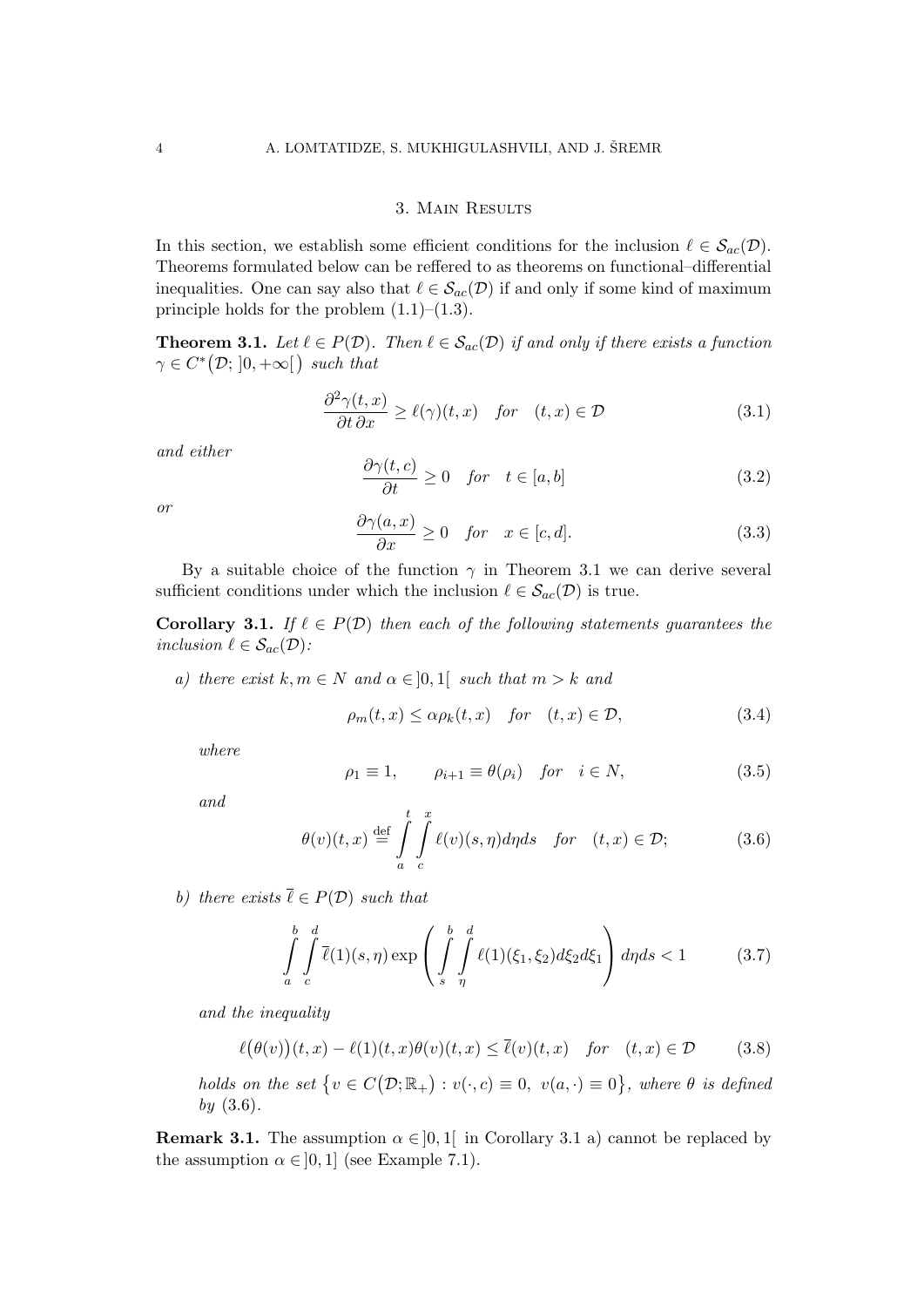#### 3. Main Results

In this section, we establish some efficient conditions for the inclusion  $\ell \in S_{ac}(\mathcal{D})$ . Theorems formulated below can be reffered to as theorems on functional–differential inequalities. One can say also that  $\ell \in S_{ac}(\mathcal{D})$  if and only if some kind of maximum principle holds for the problem  $(1.1)$ – $(1.3)$ .

**Theorem 3.1.** Let  $\ell \in P(\mathcal{D})$ . Then  $\ell \in S_{ac}(\mathcal{D})$  if and only if there exists a function  $\gamma \in C^* \big( \mathcal{D}; \, ]0, +\infty [ \, \big)$  such that

$$
\frac{\partial^2 \gamma(t, x)}{\partial t \partial x} \ge \ell(\gamma)(t, x) \quad \text{for} \quad (t, x) \in \mathcal{D} \tag{3.1}
$$

and either

$$
\frac{\partial \gamma(t, c)}{\partial t} \ge 0 \quad \text{for} \quad t \in [a, b] \tag{3.2}
$$

or

$$
\frac{\partial \gamma(a,x)}{\partial x} \ge 0 \quad \text{for} \quad x \in [c,d]. \tag{3.3}
$$

By a suitable choice of the function  $\gamma$  in Theorem 3.1 we can derive several sufficient conditions under which the inclusion  $\ell \in \mathcal{S}_{ac}(\mathcal{D})$  is true.

**Corollary 3.1.** If  $\ell \in P(\mathcal{D})$  then each of the following statements guarantees the inclusion  $\ell \in \mathcal{S}_{ac}(\mathcal{D})$ :

a) there exist  $k, m \in N$  and  $\alpha \in ]0,1[$  such that  $m > k$  and

$$
\rho_m(t, x) \le \alpha \rho_k(t, x) \quad \text{for} \quad (t, x) \in \mathcal{D}, \tag{3.4}
$$

where

$$
\rho_1 \equiv 1, \qquad \rho_{i+1} \equiv \theta(\rho_i) \quad \text{for} \quad i \in N,
$$
\n(3.5)

and

$$
\theta(v)(t,x) \stackrel{\text{def}}{=} \int_{a}^{t} \int_{c}^{x} \ell(v)(s,\eta)d\eta ds \quad \text{for} \quad (t,x) \in \mathcal{D};
$$
 (3.6)

b) there exists  $\overline{\ell} \in P(\mathcal{D})$  such that

$$
\int_{a}^{b} \int_{c}^{d} \overline{\ell}(1)(s,\eta) \exp\left(\int_{s}^{b} \int_{\eta}^{d} \ell(1)(\xi_1,\xi_2) d\xi_2 d\xi_1\right) d\eta ds < 1
$$
 (3.7)

and the inequality

$$
\ell(\theta(v))(t,x) - \ell(1)(t,x)\theta(v)(t,x) \le \overline{\ell}(v)(t,x) \quad \text{for} \quad (t,x) \in \mathcal{D} \tag{3.8}
$$

holds on the set  $\{v \in C(\mathcal{D}; \mathbb{R}_+) : v(\cdot, c) \equiv 0, v(a, \cdot) \equiv 0\}$ , where  $\theta$  is defined  $by (3.6).$ 

**Remark 3.1.** The assumption  $\alpha \in ]0,1[$  in Corollary 3.1 a) cannot be replaced by the assumption  $\alpha \in ]0,1]$  (see Example 7.1).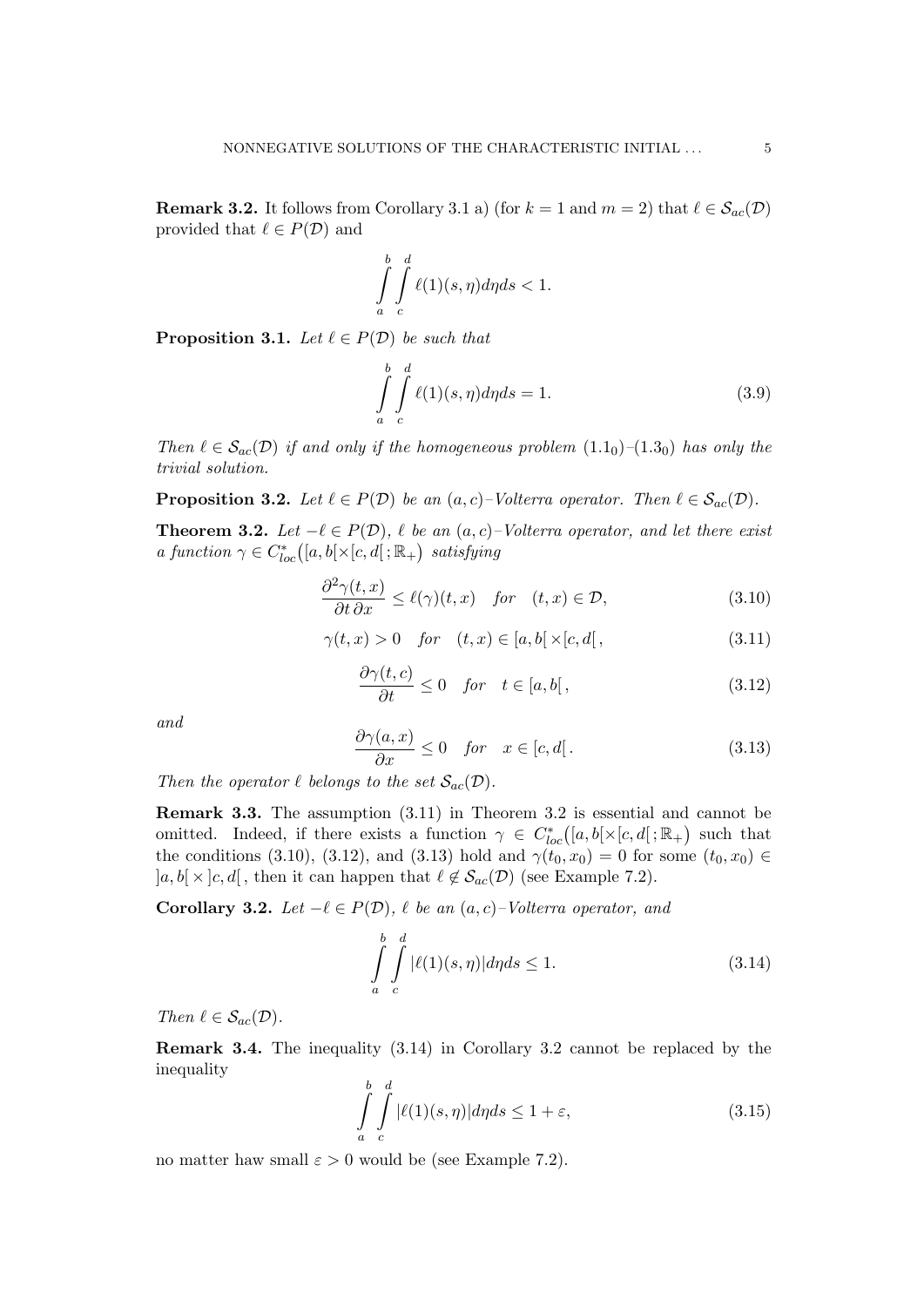**Remark 3.2.** It follows from Corollary 3.1 a) (for  $k = 1$  and  $m = 2$ ) that  $\ell \in S_{ac}(\mathcal{D})$ provided that  $\ell \in P(\mathcal{D})$  and

$$
\int_{a}^{b} \int_{c}^{d} \ell(1)(s, \eta) d\eta ds < 1.
$$

**Proposition 3.1.** Let  $\ell \in P(\mathcal{D})$  be such that

$$
\int_{a}^{b} \int_{c}^{d} \ell(1)(s, \eta) d\eta ds = 1.
$$
\n(3.9)

Then  $\ell \in S_{ac}(\mathcal{D})$  if and only if the homogeneous problem  $(1.1_0)$ – $(1.3_0)$  has only the trivial solution.

**Proposition 3.2.** Let  $\ell \in P(\mathcal{D})$  be an  $(a, c)$ –Volterra operator. Then  $\ell \in S_{ac}(\mathcal{D})$ .

**Theorem 3.2.** Let  $-\ell \in P(\mathcal{D})$ ,  $\ell$  be an  $(a, c)$ –Volterra operator, and let there exist a function  $\gamma \in C^*_{loc}([a,b[\times [c,d[;{\mathbb R}_+)] \ satisfying$ 

$$
\frac{\partial^2 \gamma(t,x)}{\partial t \partial x} \le \ell(\gamma)(t,x) \quad \text{for} \quad (t,x) \in \mathcal{D}, \tag{3.10}
$$

$$
\gamma(t,x) > 0 \quad \text{for} \quad (t,x) \in [a,b[ \times [c,d[ \, , \, \tag{3.11})
$$

$$
\frac{\partial \gamma(t, c)}{\partial t} \le 0 \quad \text{for} \quad t \in [a, b], \tag{3.12}
$$

and

$$
\frac{\partial \gamma(a,x)}{\partial x} \le 0 \quad \text{for} \quad x \in [c,d]. \tag{3.13}
$$

Then the operator  $\ell$  belongs to the set  $\mathcal{S}_{ac}(\mathcal{D})$ .

Remark 3.3. The assumption (3.11) in Theorem 3.2 is essential and cannot be omitted. Indeed, if there exists a function  $\gamma \in C^*_{loc}([a,b[\times [c,d];\mathbb{R}_+)$  such that the conditions (3.10), (3.12), and (3.13) hold and  $\gamma(t_0, x_0) = 0$  for some  $(t_0, x_0) \in$  $[a, b] \times [c, d]$ , then it can happen that  $\ell \notin S_{ac}(\mathcal{D})$  (see Example 7.2).

Corollary 3.2. Let  $-\ell \in P(\mathcal{D})$ ,  $\ell$  be an  $(a, c)$ –Volterra operator, and

$$
\int_{a}^{b} \int_{c}^{d} |\ell(1)(s,\eta)| d\eta ds \le 1.
$$
\n(3.14)

Then  $\ell \in \mathcal{S}_{ac}(\mathcal{D})$ .

Remark 3.4. The inequality (3.14) in Corollary 3.2 cannot be replaced by the inequality

$$
\int_{a}^{b} \int_{c}^{d} |\ell(1)(s,\eta)| d\eta ds \le 1 + \varepsilon,
$$
\n(3.15)

no matter haw small  $\varepsilon > 0$  would be (see Example 7.2).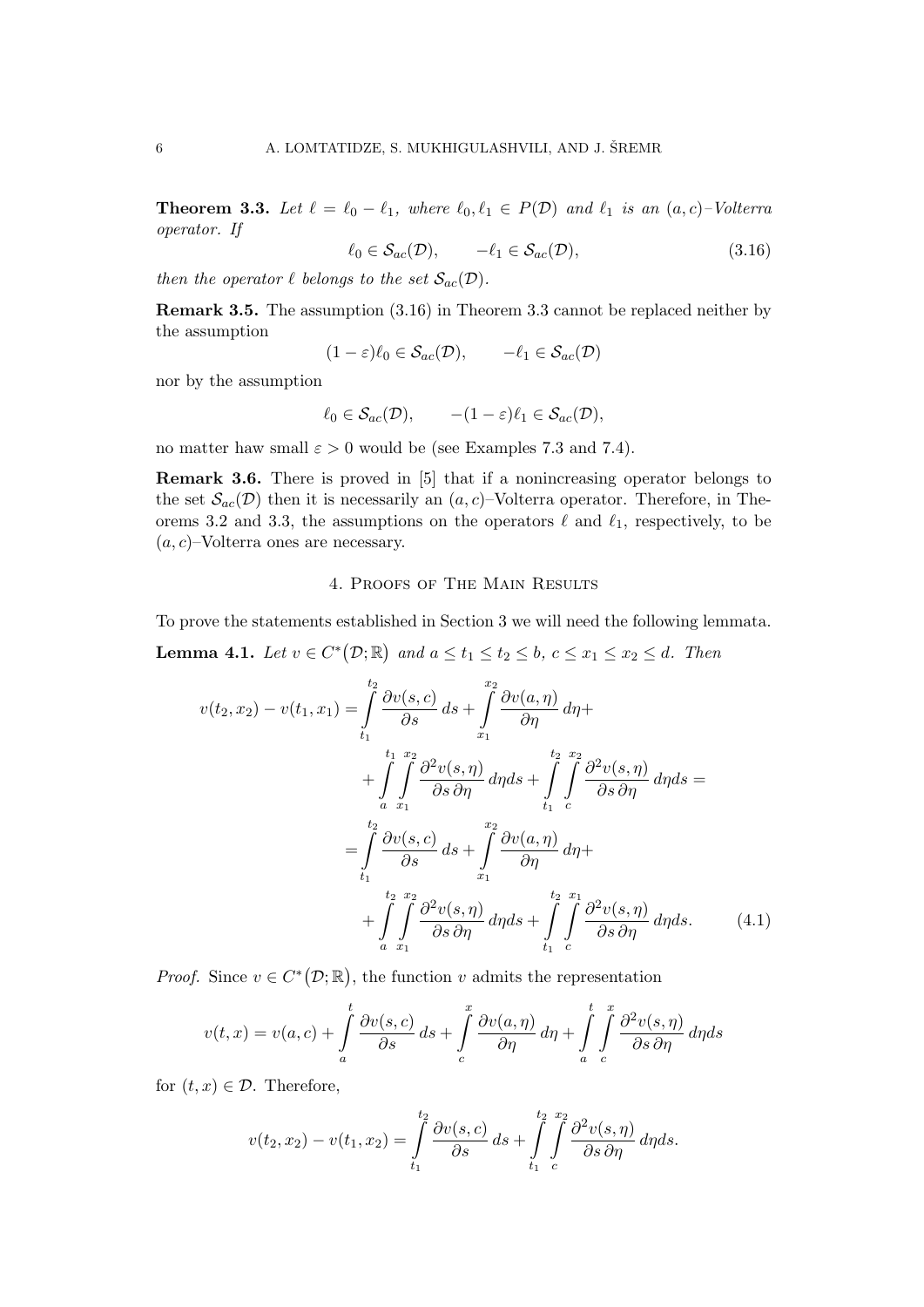**Theorem 3.3.** Let  $\ell = \ell_0 - \ell_1$ , where  $\ell_0, \ell_1 \in P(\mathcal{D})$  and  $\ell_1$  is an  $(a, c)$ –Volterra operator. If

$$
\ell_0 \in \mathcal{S}_{ac}(\mathcal{D}), \qquad -\ell_1 \in \mathcal{S}_{ac}(\mathcal{D}), \tag{3.16}
$$

then the operator  $\ell$  belongs to the set  $\mathcal{S}_{ac}(\mathcal{D})$ .

Remark 3.5. The assumption (3.16) in Theorem 3.3 cannot be replaced neither by the assumption

$$
(1 - \varepsilon)\ell_0 \in \mathcal{S}_{ac}(\mathcal{D}), \qquad -\ell_1 \in \mathcal{S}_{ac}(\mathcal{D})
$$

nor by the assumption

$$
\ell_0 \in \mathcal{S}_{ac}(\mathcal{D}), \qquad -(1-\varepsilon)\ell_1 \in \mathcal{S}_{ac}(\mathcal{D}),
$$

no matter haw small  $\varepsilon > 0$  would be (see Examples 7.3 and 7.4).

Remark 3.6. There is proved in [5] that if a nonincreasing operator belongs to the set  $\mathcal{S}_{ac}(\mathcal{D})$  then it is necessarily an  $(a, c)$ –Volterra operator. Therefore, in Theorems 3.2 and 3.3, the assumptions on the operators  $\ell$  and  $\ell_1$ , respectively, to be  $(a, c)$ –Volterra ones are necessary.

### 4. Proofs of The Main Results

To prove the statements established in Section 3 we will need the following lemmata.

**Lemma 4.1.** Let  $v \in C^*(\mathcal{D}; \mathbb{R})$  and  $a \le t_1 \le t_2 \le b$ ,  $c \le x_1 \le x_2 \le d$ . Then

$$
v(t_2, x_2) - v(t_1, x_1) = \int_{t_1}^{t_2} \frac{\partial v(s, c)}{\partial s} ds + \int_{x_1}^{x_2} \frac{\partial v(a, \eta)}{\partial \eta} d\eta +
$$
  
+ 
$$
\int_{a}^{t_1} \int_{x_1}^{x_2} \frac{\partial^2 v(s, \eta)}{\partial s \partial \eta} d\eta ds + \int_{t_1}^{t_2} \int_{c}^{x_2} \frac{\partial^2 v(s, \eta)}{\partial s \partial \eta} d\eta ds =
$$
  
= 
$$
\int_{t_1}^{t_2} \frac{\partial v(s, c)}{\partial s} ds + \int_{x_1}^{x_2} \frac{\partial v(a, \eta)}{\partial \eta} d\eta +
$$
  
+ 
$$
\int_{a}^{t_2} \int_{x_1}^{x_2} \frac{\partial^2 v(s, \eta)}{\partial s \partial \eta} d\eta ds + \int_{t_1}^{t_2} \int_{c}^{x_1} \frac{\partial^2 v(s, \eta)}{\partial s \partial \eta} d\eta ds.
$$
 (4.1)

*Proof.* Since  $v \in C^*(\mathcal{D}; \mathbb{R})$ , the function v admits the representation

$$
v(t,x) = v(a,c) + \int_{a}^{t} \frac{\partial v(s,c)}{\partial s} ds + \int_{c}^{x} \frac{\partial v(a,\eta)}{\partial \eta} d\eta + \int_{a}^{t} \int_{c}^{x} \frac{\partial^2 v(s,\eta)}{\partial s \partial \eta} d\eta ds
$$

for  $(t, x) \in \mathcal{D}$ . Therefore,

$$
v(t_2, x_2) - v(t_1, x_2) = \int_{t_1}^{t_2} \frac{\partial v(s, c)}{\partial s} ds + \int_{t_1}^{t_2} \int_{c}^{x_2} \frac{\partial^2 v(s, \eta)}{\partial s \partial \eta} d\eta ds.
$$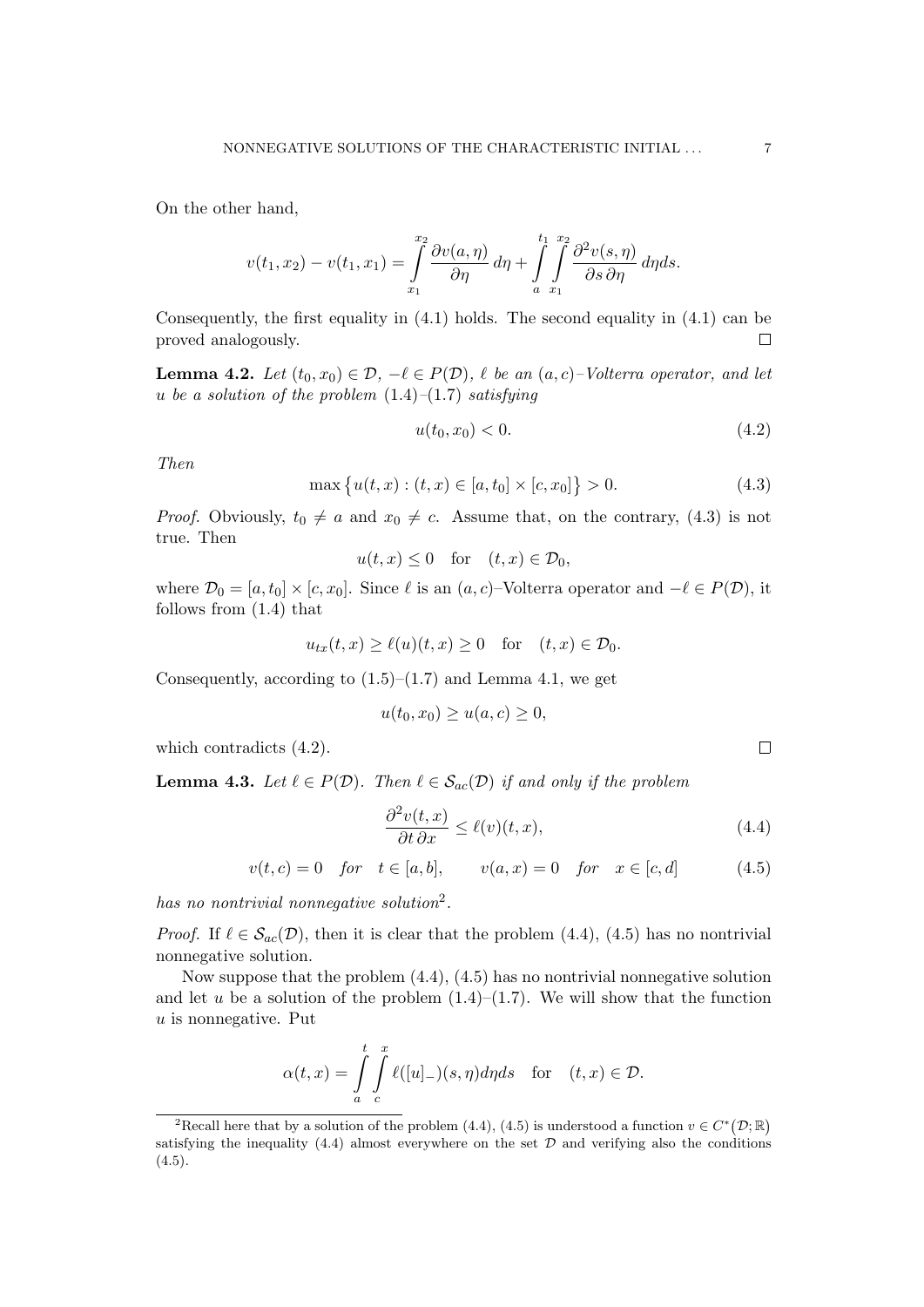On the other hand,

$$
v(t_1, x_2) - v(t_1, x_1) = \int_{x_1}^{x_2} \frac{\partial v(a, \eta)}{\partial \eta} d\eta + \int_{a}^{t_1} \int_{x_1}^{x_2} \frac{\partial^2 v(s, \eta)}{\partial s \partial \eta} d\eta ds.
$$

Consequently, the first equality in  $(4.1)$  holds. The second equality in  $(4.1)$  can be proved analogously. П

**Lemma 4.2.** Let  $(t_0, x_0) \in \mathcal{D}, -\ell \in P(\mathcal{D}), \ell$  be an  $(a, c)$ –Volterra operator, and let u be a solution of the problem  $(1.4)$ – $(1.7)$  satisfying

$$
u(t_0, x_0) < 0. \tag{4.2}
$$

Then

$$
\max\{u(t,x):(t,x)\in[a,t_0]\times[c,x_0]\}>0.\tag{4.3}
$$

*Proof.* Obviously,  $t_0 \neq a$  and  $x_0 \neq c$ . Assume that, on the contrary, (4.3) is not true. Then

$$
u(t,x) \le 0 \quad \text{for} \quad (t,x) \in \mathcal{D}_0,
$$

where  $\mathcal{D}_0 = [a, t_0] \times [c, x_0]$ . Since  $\ell$  is an  $(a, c)$ –Volterra operator and  $-\ell \in P(\mathcal{D})$ , it follows from (1.4) that

$$
u_{tx}(t,x) \ge \ell(u)(t,x) \ge 0 \quad \text{for} \quad (t,x) \in \mathcal{D}_0.
$$

Consequently, according to  $(1.5)$ – $(1.7)$  and Lemma 4.1, we get

$$
u(t_0, x_0) \ge u(a, c) \ge 0,
$$

which contradicts  $(4.2)$ .

**Lemma 4.3.** Let  $\ell \in P(\mathcal{D})$ . Then  $\ell \in S_{ac}(\mathcal{D})$  if and only if the problem

$$
\frac{\partial^2 v(t, x)}{\partial t \partial x} \le \ell(v)(t, x),\tag{4.4}
$$

 $v(t, c) = 0$  for  $t \in [a, b], \quad v(a, x) = 0$  for  $x \in [c, d]$  (4.5)

has no nontrivial nonnegative solution<sup>2</sup>.

*Proof.* If  $\ell \in \mathcal{S}_{ac}(\mathcal{D})$ , then it is clear that the problem (4.4), (4.5) has no nontrivial nonnegative solution.

Now suppose that the problem  $(4.4)$ ,  $(4.5)$  has no nontrivial nonnegative solution and let u be a solution of the problem  $(1.4)$ – $(1.7)$ . We will show that the function  $u$  is nonnegative. Put

$$
\alpha(t,x) = \int\limits_{a}^{t} \int\limits_{c}^{x} \ell([u]_{-})(s,\eta) d\eta ds \quad \text{for} \quad (t,x) \in \mathcal{D}.
$$

 $\Box$ 

<sup>&</sup>lt;sup>2</sup>Recall here that by a solution of the problem (4.4), (4.5) is understood a function  $v \in C^*(\mathcal{D}; \mathbb{R})$ satisfying the inequality  $(4.4)$  almost everywhere on the set  $D$  and verifying also the conditions  $(4.5).$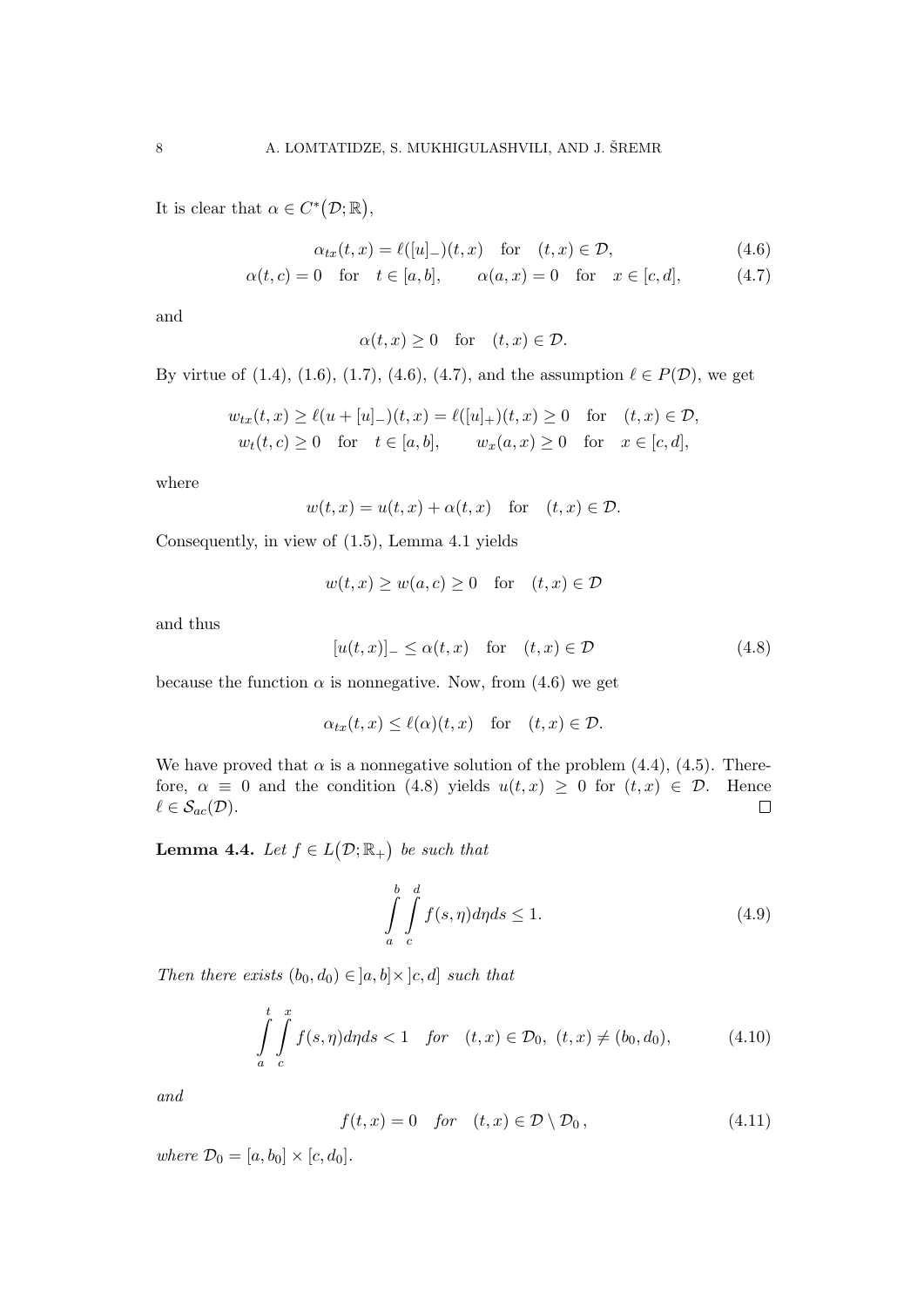It is clear that  $\alpha \in C^*(\mathcal{D}; \mathbb{R}),$ 

$$
\alpha_{tx}(t,x) = \ell([u]_-)(t,x) \quad \text{for} \quad (t,x) \in \mathcal{D}, \tag{4.6}
$$

$$
\alpha(t, c) = 0 \quad \text{for} \quad t \in [a, b], \qquad \alpha(a, x) = 0 \quad \text{for} \quad x \in [c, d], \tag{4.7}
$$

and

$$
\alpha(t, x) \ge 0 \quad \text{for} \quad (t, x) \in \mathcal{D}.
$$

By virtue of (1.4), (1.6), (1.7), (4.6), (4.7), and the assumption  $\ell \in P(\mathcal{D})$ , we get

$$
w_{tx}(t, x) \ge \ell(u + [u]_{-})(t, x) = \ell([u]_{+})(t, x) \ge 0 \text{ for } (t, x) \in \mathcal{D},
$$
  

$$
w_{t}(t, c) \ge 0 \text{ for } t \in [a, b], \qquad w_{x}(a, x) \ge 0 \text{ for } x \in [c, d],
$$

where

$$
w(t,x) = u(t,x) + \alpha(t,x) \quad \text{for} \quad (t,x) \in \mathcal{D}.
$$

Consequently, in view of (1.5), Lemma 4.1 yields

$$
w(t,x) \ge w(a,c) \ge 0 \quad \text{for} \quad (t,x) \in \mathcal{D}
$$

and thus

$$
[u(t,x)]_{-} \le \alpha(t,x) \quad \text{for} \quad (t,x) \in \mathcal{D} \tag{4.8}
$$

because the function  $\alpha$  is nonnegative. Now, from (4.6) we get

$$
\alpha_{tx}(t,x) \le \ell(\alpha)(t,x) \quad \text{for} \quad (t,x) \in \mathcal{D}.
$$

We have proved that  $\alpha$  is a nonnegative solution of the problem (4.4), (4.5). Therefore,  $\alpha \equiv 0$  and the condition (4.8) yields  $u(t, x) \geq 0$  for  $(t, x) \in \mathcal{D}$ . Hence  $\ell \in \mathcal{S}_{ac}(\mathcal{D}).$  $\Box$ 

**Lemma 4.4.** Let  $f \in L(\mathcal{D}; \mathbb{R}_+)$  be such that

$$
\int_{a}^{b} \int_{c}^{d} f(s, \eta) d\eta ds \le 1.
$$
\n(4.9)

Then there exists  $(b_0, d_0) \in [a, b] \times [c, d]$  such that

$$
\int_{a}^{t} \int_{c}^{x} f(s, \eta) d\eta ds < 1 \quad \text{for} \quad (t, x) \in \mathcal{D}_0, \ (t, x) \neq (b_0, d_0), \tag{4.10}
$$

and

$$
f(t,x) = 0 \quad \text{for} \quad (t,x) \in \mathcal{D} \setminus \mathcal{D}_0, \tag{4.11}
$$

where  $\mathcal{D}_0 = [a, b_0] \times [c, d_0]$ .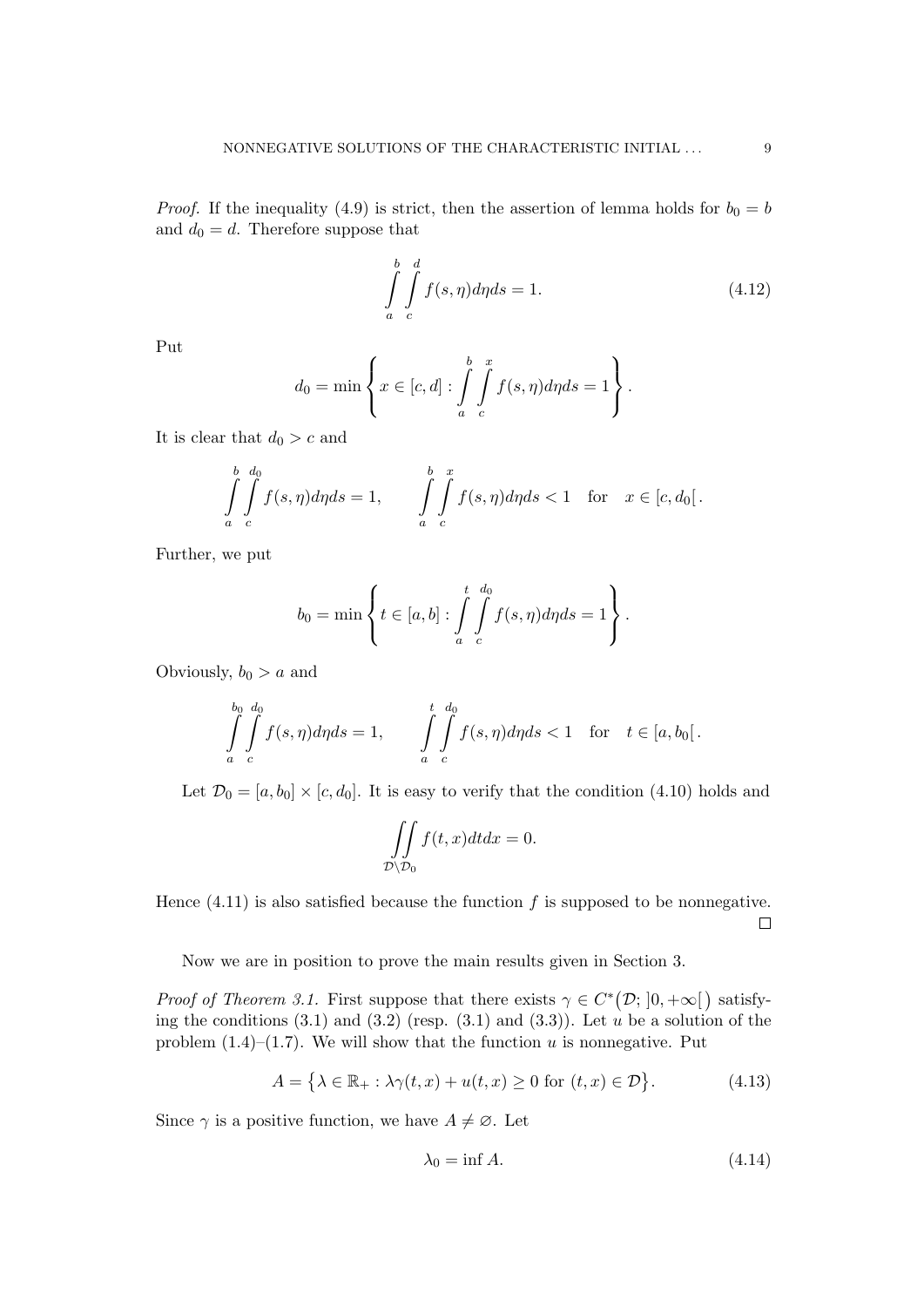*Proof.* If the inequality (4.9) is strict, then the assertion of lemma holds for  $b_0 = b$ and  $d_0 = d$ . Therefore suppose that

$$
\int_{a}^{b} \int_{c}^{d} f(s, \eta) d\eta ds = 1.
$$
\n(4.12)

Put

$$
d_0 = \min \left\{ x \in [c, d] : \int_a^b \int_c^x f(s, \eta) d\eta ds = 1 \right\}.
$$

It is clear that  $d_0 > c$  and

$$
\int_{a}^{b} \int_{c}^{d_0} f(s, \eta) d\eta ds = 1, \qquad \int_{a}^{b} \int_{c}^{x} f(s, \eta) d\eta ds < 1 \quad \text{for} \quad x \in [c, d_0].
$$

Further, we put

$$
b_0 = \min \left\{ t \in [a, b] : \int_a^t \int_c^{d_0} f(s, \eta) d\eta ds = 1 \right\}.
$$

Obviously,  $b_0 > a$  and

$$
\int_{a}^{b_0} \int_{c}^{d_0} f(s, \eta) d\eta ds = 1, \qquad \int_{a}^{t} \int_{c}^{d_0} f(s, \eta) d\eta ds < 1 \quad \text{for} \quad t \in [a, b_0].
$$

Let  $\mathcal{D}_0 = [a, b_0] \times [c, d_0]$ . It is easy to verify that the condition (4.10) holds and

$$
\iint\limits_{\mathcal{D}\setminus\mathcal{D}_0} f(t,x)dtdx = 0.
$$

Hence  $(4.11)$  is also satisfied because the function f is supposed to be nonnegative.  $\Box$ 

Now we are in position to prove the main results given in Section 3.

*Proof of Theorem 3.1.* First suppose that there exists  $\gamma \in C^*(\mathcal{D}; ]0, +\infty[$  satisfying the conditions  $(3.1)$  and  $(3.2)$  (resp.  $(3.1)$  and  $(3.3)$ ). Let u be a solution of the problem  $(1.4)$ – $(1.7)$ . We will show that the function u is nonnegative. Put

$$
A = \{ \lambda \in \mathbb{R}_+ : \lambda \gamma(t, x) + u(t, x) \ge 0 \text{ for } (t, x) \in \mathcal{D} \}.
$$
 (4.13)

Since  $\gamma$  is a positive function, we have  $A \neq \emptyset$ . Let

$$
\lambda_0 = \inf A. \tag{4.14}
$$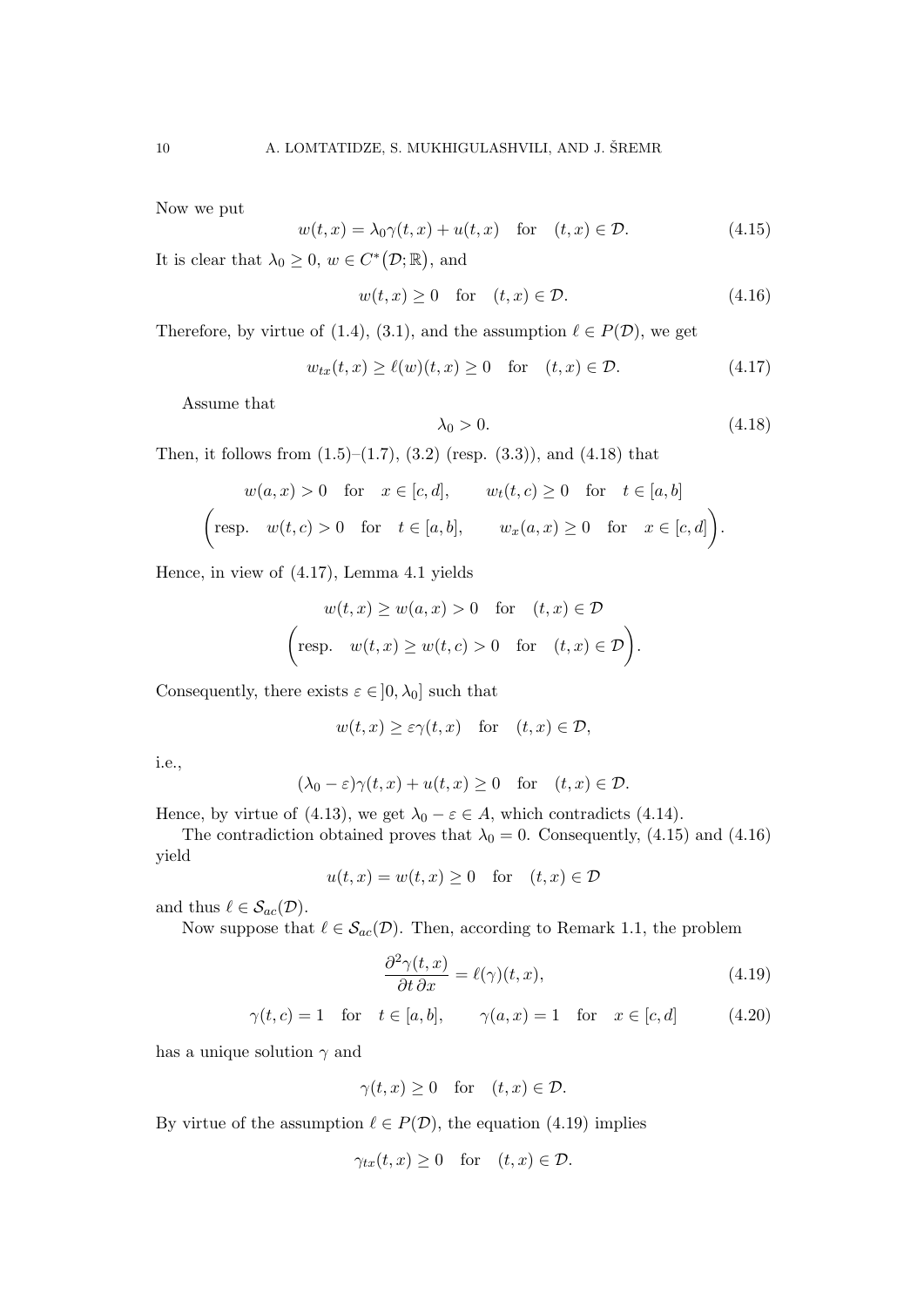Now we put

$$
w(t,x) = \lambda_0 \gamma(t,x) + u(t,x) \quad \text{for} \quad (t,x) \in \mathcal{D}.
$$
 (4.15)

It is clear that  $\lambda_0 \geq 0$ ,  $w \in C^*(\mathcal{D}; \mathbb{R})$ , and

$$
w(t, x) \ge 0 \quad \text{for} \quad (t, x) \in \mathcal{D}.\tag{4.16}
$$

Therefore, by virtue of (1.4), (3.1), and the assumption  $\ell \in P(\mathcal{D})$ , we get

$$
w_{tx}(t,x) \ge \ell(w)(t,x) \ge 0 \quad \text{for} \quad (t,x) \in \mathcal{D}.\tag{4.17}
$$

Assume that

$$
\lambda_0 > 0. \tag{4.18}
$$

Then, it follows from  $(1.5)$ – $(1.7)$ ,  $(3.2)$  (resp.  $(3.3)$ ), and  $(4.18)$  that

$$
w(a,x) > 0 \quad \text{for} \quad x \in [c,d], \qquad w_t(t,c) \ge 0 \quad \text{for} \quad t \in [a,b]
$$
  
\n
$$
\left(\text{resp.} \quad w(t,c) > 0 \quad \text{for} \quad t \in [a,b], \qquad w_x(a,x) \ge 0 \quad \text{for} \quad x \in [c,d]\right).
$$

Hence, in view of (4.17), Lemma 4.1 yields

$$
w(t, x) \ge w(a, x) > 0 \quad \text{for} \quad (t, x) \in \mathcal{D}
$$
  
\n
$$
\left(\text{resp.} \quad w(t, x) \ge w(t, c) > 0 \quad \text{for} \quad (t, x) \in \mathcal{D}\right).
$$

Consequently, there exists  $\varepsilon \in [0, \lambda_0]$  such that

$$
w(t, x) \geq \varepsilon \gamma(t, x)
$$
 for  $(t, x) \in \mathcal{D}$ ,

i.e.,

$$
(\lambda_0 - \varepsilon)\gamma(t, x) + u(t, x) \ge 0 \quad \text{for} \quad (t, x) \in \mathcal{D}.
$$

Hence, by virtue of (4.13), we get  $\lambda_0 - \varepsilon \in A$ , which contradicts (4.14).

The contradiction obtained proves that  $\lambda_0 = 0$ . Consequently, (4.15) and (4.16) yield

$$
u(t, x) = w(t, x) \ge 0 \quad \text{for} \quad (t, x) \in \mathcal{D}
$$

and thus  $\ell \in \mathcal{S}_{ac}(\mathcal{D})$ .

Now suppose that  $\ell \in S_{ac}(\mathcal{D})$ . Then, according to Remark 1.1, the problem

$$
\frac{\partial^2 \gamma(t, x)}{\partial t \partial x} = \ell(\gamma)(t, x),\tag{4.19}
$$

$$
\gamma(t, c) = 1 \quad \text{for} \quad t \in [a, b], \qquad \gamma(a, x) = 1 \quad \text{for} \quad x \in [c, d] \tag{4.20}
$$

has a unique solution  $\gamma$  and

$$
\gamma(t, x) \ge 0 \quad \text{for} \quad (t, x) \in \mathcal{D}.
$$

By virtue of the assumption  $\ell \in P(\mathcal{D})$ , the equation (4.19) implies

$$
\gamma_{tx}(t,x) \ge 0 \quad \text{for} \quad (t,x) \in \mathcal{D}.
$$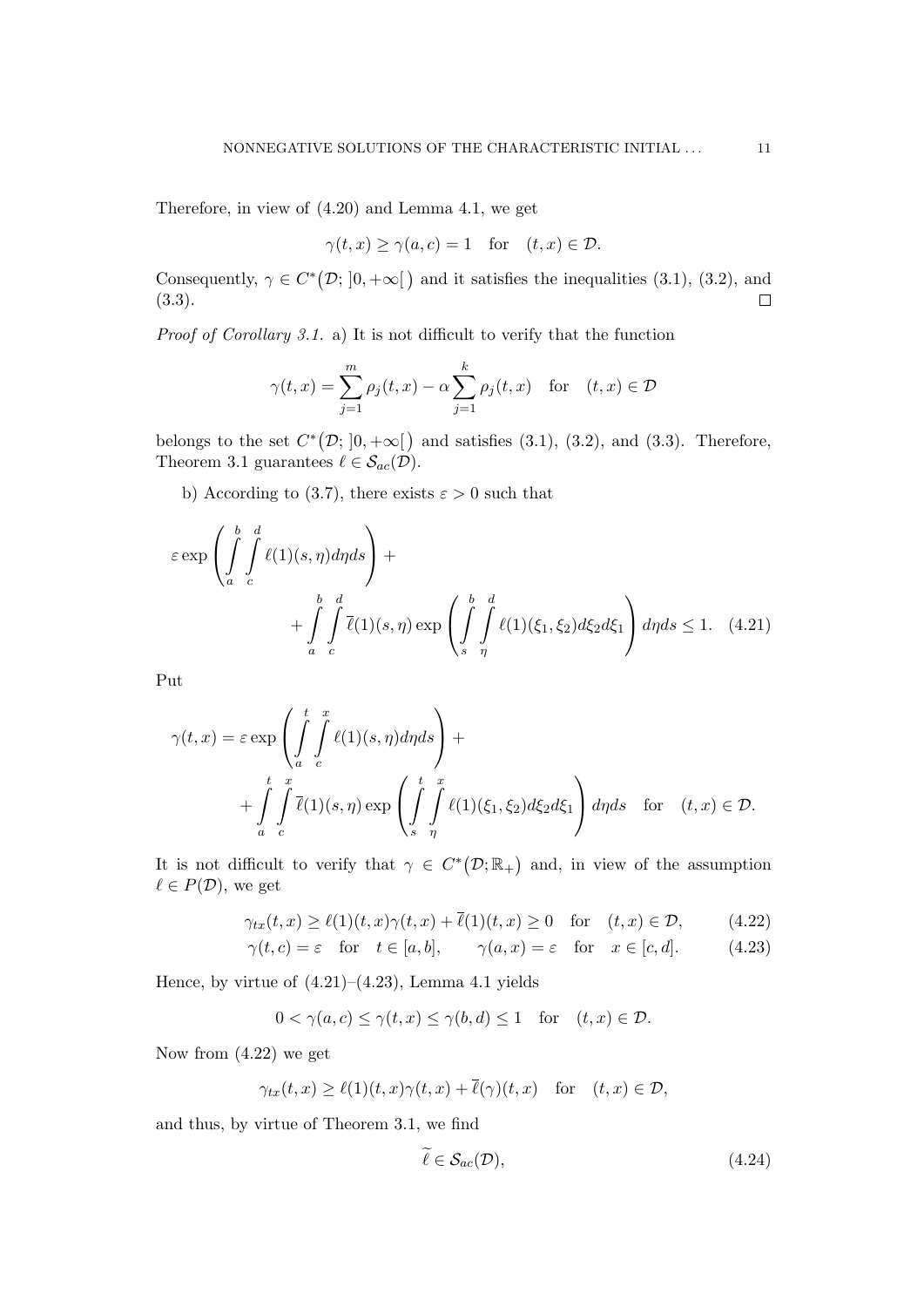Therefore, in view of (4.20) and Lemma 4.1, we get

$$
\gamma(t, x) \ge \gamma(a, c) = 1 \quad \text{for} \quad (t, x) \in \mathcal{D}.
$$

Consequently,  $\gamma \in C^*(\mathcal{D}; [0, +\infty])$  and it satisfies the inequalities (3.1), (3.2), and (3.3).  $\Box$ 

Proof of Corollary 3.1. a) It is not difficult to verify that the function

$$
\gamma(t,x) = \sum_{j=1}^{m} \rho_j(t,x) - \alpha \sum_{j=1}^{k} \rho_j(t,x) \quad \text{for} \quad (t,x) \in \mathcal{D}
$$

belongs to the set  $C^*(\mathcal{D}; [0, +\infty])$  and satisfies (3.1), (3.2), and (3.3). Therefore, Theorem 3.1 guarantees  $\ell \in \mathcal{S}_{ac}(\mathcal{D})$ .

b) According to (3.7), there exists  $\varepsilon > 0$  such that

$$
\varepsilon \exp\left(\int_{a}^{b} \int_{c}^{d} \ell(1)(s,\eta) d\eta ds\right) + \left(\int_{a}^{b} \int_{c}^{d} \overline{\ell}(1)(s,\eta) \exp\left(\int_{s}^{b} \int_{\eta}^{d} \ell(1)(\xi_1,\xi_2) d\xi_2 d\xi_1\right) d\eta ds \le 1. \quad (4.21)
$$

Put

$$
\gamma(t,x) = \varepsilon \exp\left(\int_a^t \int_c^x \ell(1)(s,\eta)d\eta ds\right) +
$$
  
+ 
$$
\int_a^t \int_c^x \overline{\ell}(1)(s,\eta) \exp\left(\int_s^t \int_c^x \ell(1)(\xi_1,\xi_2) d\xi_2 d\xi_1\right) d\eta ds \text{ for } (t,x) \in \mathcal{D}.
$$

It is not difficult to verify that  $\gamma \in C^*(\mathcal{D}; \mathbb{R}_+)$  and, in view of the assumption  $\ell \in P(\mathcal{D})$ , we get

$$
\gamma_{tx}(t,x) \ge \ell(1)(t,x)\gamma(t,x) + \overline{\ell}(1)(t,x) \ge 0 \quad \text{for} \quad (t,x) \in \mathcal{D},\tag{4.22}
$$

$$
\gamma(t, c) = \varepsilon \quad \text{for} \quad t \in [a, b], \qquad \gamma(a, x) = \varepsilon \quad \text{for} \quad x \in [c, d]. \tag{4.23}
$$

Hence, by virtue of  $(4.21)$ – $(4.23)$ , Lemma 4.1 yields

$$
0 < \gamma(a, c) \le \gamma(t, x) \le \gamma(b, d) \le 1 \quad \text{for} \quad (t, x) \in \mathcal{D}.
$$

Now from (4.22) we get

$$
\gamma_{tx}(t,x) \ge \ell(1)(t,x)\gamma(t,x) + \overline{\ell}(\gamma)(t,x) \quad \text{for} \quad (t,x) \in \mathcal{D},
$$

and thus, by virtue of Theorem 3.1, we find

$$
\tilde{\ell} \in \mathcal{S}_{ac}(\mathcal{D}),\tag{4.24}
$$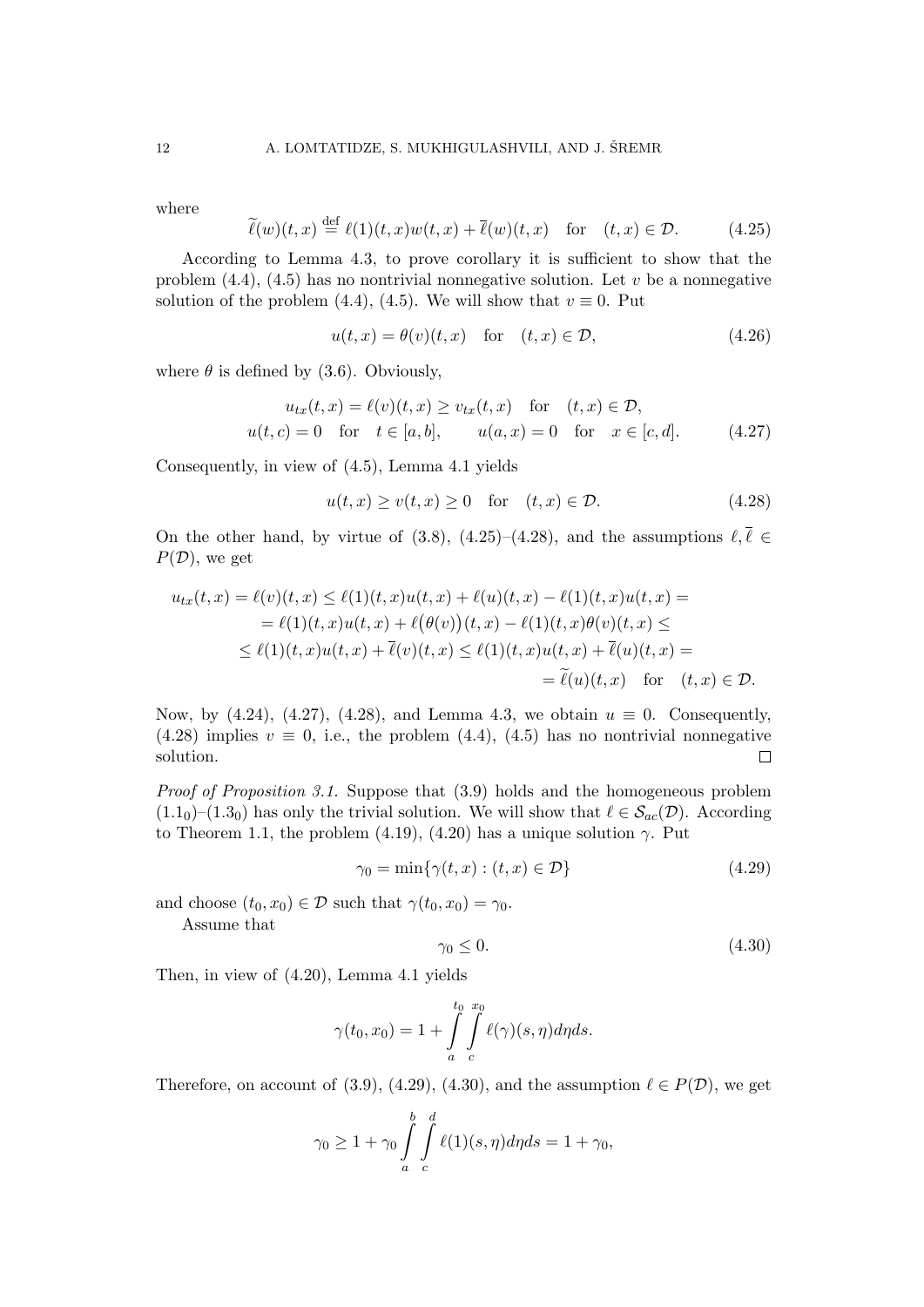where

$$
\widetilde{\ell}(w)(t,x) \stackrel{\text{def}}{=} \ell(1)(t,x)w(t,x) + \overline{\ell}(w)(t,x) \quad \text{for} \quad (t,x) \in \mathcal{D}.\tag{4.25}
$$

According to Lemma 4.3, to prove corollary it is sufficient to show that the problem  $(4.4)$ ,  $(4.5)$  has no nontrivial nonnegative solution. Let v be a nonnegative solution of the problem (4.4), (4.5). We will show that  $v \equiv 0$ . Put

$$
u(t,x) = \theta(v)(t,x) \quad \text{for} \quad (t,x) \in \mathcal{D}, \tag{4.26}
$$

where  $\theta$  is defined by (3.6). Obviously,

$$
u_{tx}(t,x) = \ell(v)(t,x) \ge v_{tx}(t,x) \quad \text{for} \quad (t,x) \in \mathcal{D},
$$
  

$$
u(t,c) = 0 \quad \text{for} \quad t \in [a,b], \qquad u(a,x) = 0 \quad \text{for} \quad x \in [c,d]. \tag{4.27}
$$

Consequently, in view of (4.5), Lemma 4.1 yields

$$
u(t,x) \ge v(t,x) \ge 0 \quad \text{for} \quad (t,x) \in \mathcal{D}.\tag{4.28}
$$

On the other hand, by virtue of (3.8), (4.25)–(4.28), and the assumptions  $\ell, \overline{\ell} \in$  $P(\mathcal{D})$ , we get

$$
u_{tx}(t,x) = \ell(v)(t,x) \leq \ell(1)(t,x)u(t,x) + \ell(u)(t,x) - \ell(1)(t,x)u(t,x) =
$$
  
\n
$$
= \ell(1)(t,x)u(t,x) + \ell(\theta(v))(t,x) - \ell(1)(t,x)\theta(v)(t,x) \leq
$$
  
\n
$$
\leq \ell(1)(t,x)u(t,x) + \overline{\ell}(v)(t,x) \leq \ell(1)(t,x)u(t,x) + \overline{\ell}(u)(t,x) =
$$
  
\n
$$
= \widetilde{\ell}(u)(t,x) \quad \text{for} \quad (t,x) \in \mathcal{D}.
$$

Now, by (4.24), (4.27), (4.28), and Lemma 4.3, we obtain  $u \equiv 0$ . Consequently,  $(4.28)$  implies  $v \equiv 0$ , i.e., the problem  $(4.4)$ ,  $(4.5)$  has no nontrivial nonnegative solution.  $\Box$ 

Proof of Proposition 3.1. Suppose that  $(3.9)$  holds and the homogeneous problem  $(1.1<sub>0</sub>)-(1.3<sub>0</sub>)$  has only the trivial solution. We will show that  $\ell \in S_{ac}(\mathcal{D})$ . According to Theorem 1.1, the problem (4.19), (4.20) has a unique solution  $\gamma$ . Put

$$
\gamma_0 = \min\{\gamma(t, x) : (t, x) \in \mathcal{D}\}\tag{4.29}
$$

and choose  $(t_0, x_0) \in \mathcal{D}$  such that  $\gamma(t_0, x_0) = \gamma_0$ .

Assume that

$$
\gamma_0 \le 0. \tag{4.30}
$$

Then, in view of (4.20), Lemma 4.1 yields

$$
\gamma(t_0, x_0) = 1 + \int\limits_a^{t_0} \int\limits_c^{x_0} \ell(\gamma)(s, \eta) d\eta ds.
$$

Therefore, on account of (3.9), (4.29), (4.30), and the assumption  $\ell \in P(\mathcal{D})$ , we get

$$
\gamma_0 \ge 1 + \gamma_0 \int_a^b \int_c^d \ell(1)(s, \eta) d\eta ds = 1 + \gamma_0,
$$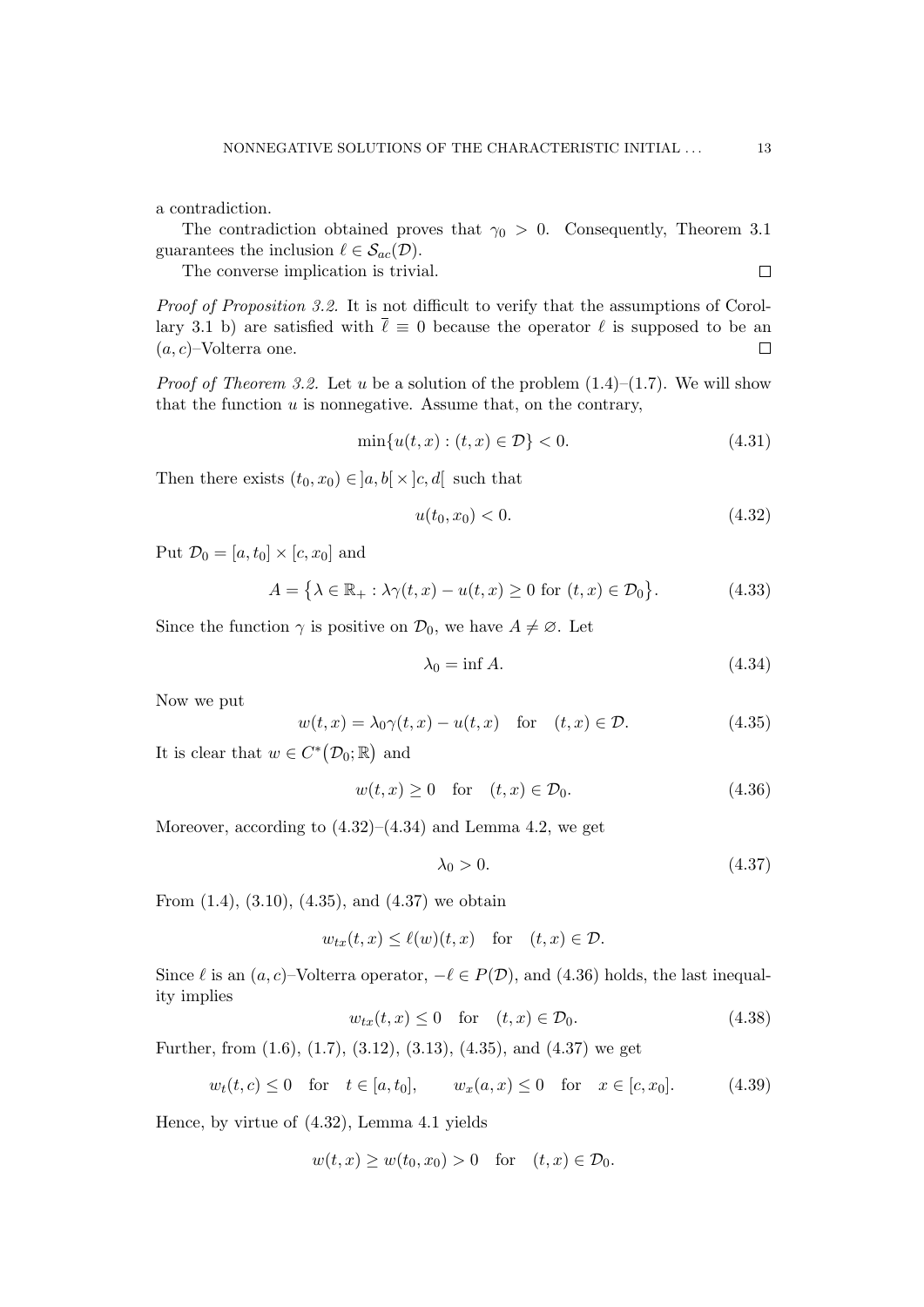a contradiction.

The contradiction obtained proves that  $\gamma_0 > 0$ . Consequently, Theorem 3.1 guarantees the inclusion  $\ell \in \mathcal{S}_{ac}(\mathcal{D})$ .

The converse implication is trivial.

Proof of Proposition 3.2. It is not difficult to verify that the assumptions of Corollary 3.1 b) are satisfied with  $\bar{\ell} \equiv 0$  because the operator  $\ell$  is supposed to be an  $(a, c)$ –Volterra one.  $\Box$ 

*Proof of Theorem 3.2.* Let u be a solution of the problem  $(1.4)$ – $(1.7)$ . We will show that the function  $u$  is nonnegative. Assume that, on the contrary,

$$
\min\{u(t,x) : (t,x) \in \mathcal{D}\} < 0. \tag{4.31}
$$

Then there exists  $(t_0, x_0) \in ]a, b] \times ]c, d]$  such that

$$
u(t_0, x_0) < 0. \tag{4.32}
$$

Put  $\mathcal{D}_0 = [a, t_0] \times [c, x_0]$  and

$$
A = \{ \lambda \in \mathbb{R}_+ : \lambda \gamma(t, x) - u(t, x) \ge 0 \text{ for } (t, x) \in \mathcal{D}_0 \}.
$$
 (4.33)

Since the function  $\gamma$  is positive on  $\mathcal{D}_0$ , we have  $A \neq \emptyset$ . Let

$$
\lambda_0 = \inf A. \tag{4.34}
$$

Now we put

$$
w(t,x) = \lambda_0 \gamma(t,x) - u(t,x) \quad \text{for} \quad (t,x) \in \mathcal{D}.
$$
 (4.35)

It is clear that  $w \in C^{\ast} (\mathcal{D}_0; \mathbb{R})$  and

$$
w(t,x) \ge 0 \quad \text{for} \quad (t,x) \in \mathcal{D}_0. \tag{4.36}
$$

Moreover, according to  $(4.32)$ – $(4.34)$  and Lemma 4.2, we get

$$
\lambda_0 > 0. \tag{4.37}
$$

From  $(1.4)$ ,  $(3.10)$ ,  $(4.35)$ , and  $(4.37)$  we obtain

$$
w_{tx}(t,x) \leq \ell(w)(t,x)
$$
 for  $(t,x) \in \mathcal{D}$ .

Since  $\ell$  is an  $(a, c)$ –Volterra operator,  $-\ell \in P(\mathcal{D})$ , and (4.36) holds, the last inequality implies

$$
w_{tx}(t,x) \le 0 \quad \text{for} \quad (t,x) \in \mathcal{D}_0. \tag{4.38}
$$

Further, from  $(1.6)$ ,  $(1.7)$ ,  $(3.12)$ ,  $(3.13)$ ,  $(4.35)$ , and  $(4.37)$  we get

$$
w_t(t, c) \le 0
$$
 for  $t \in [a, t_0]$ ,  $w_x(a, x) \le 0$  for  $x \in [c, x_0]$ . (4.39)

Hence, by virtue of (4.32), Lemma 4.1 yields

$$
w(t,x) \ge w(t_0,x_0) > 0 \quad \text{for} \quad (t,x) \in \mathcal{D}_0.
$$

 $\Box$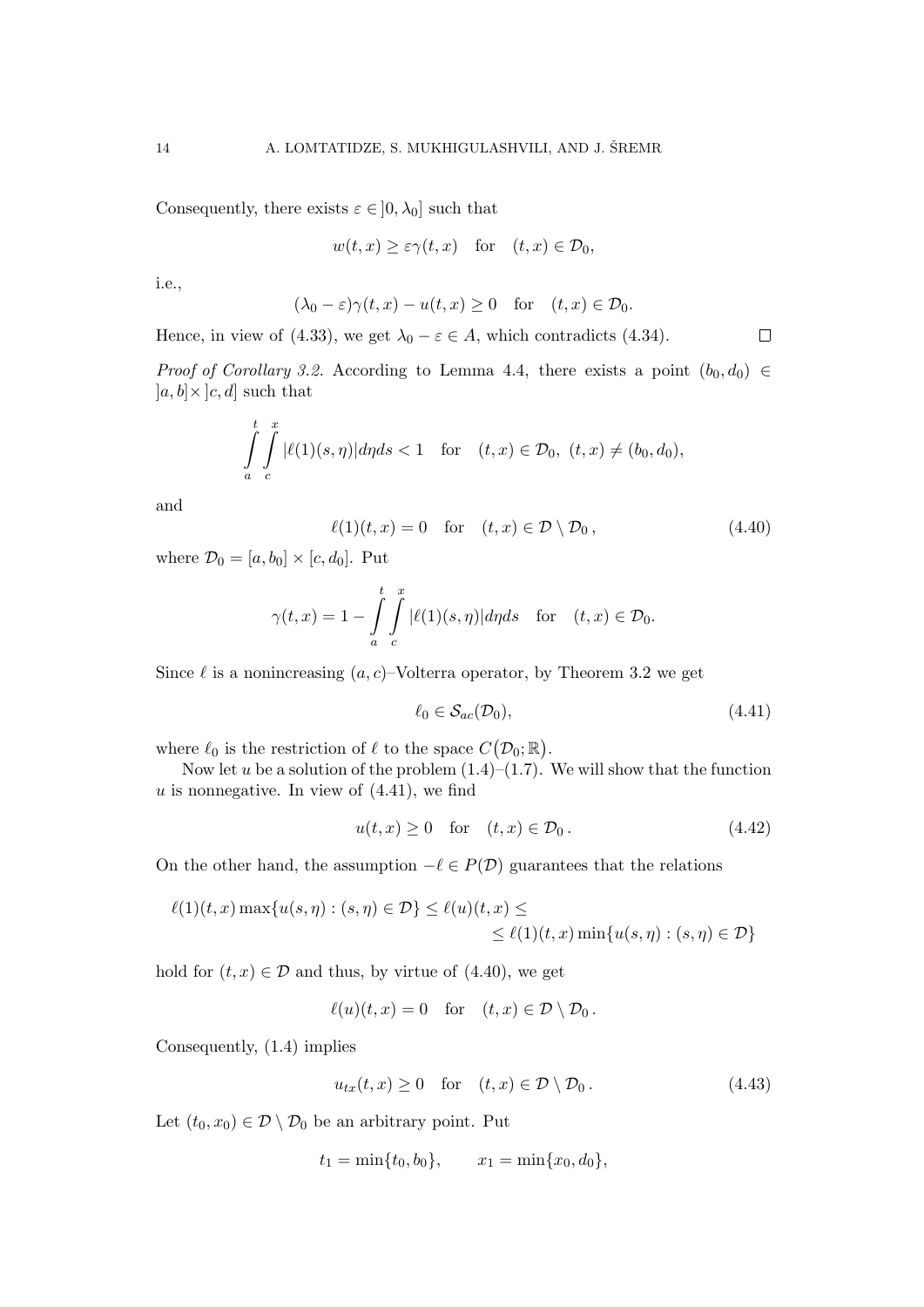Consequently, there exists  $\varepsilon \in ]0, \lambda_0]$  such that

$$
w(t, x) \geq \varepsilon \gamma(t, x)
$$
 for  $(t, x) \in \mathcal{D}_0$ ,

i.e.,

$$
(\lambda_0 - \varepsilon)\gamma(t, x) - u(t, x) \ge 0 \quad \text{for} \quad (t, x) \in \mathcal{D}_0.
$$

Hence, in view of (4.33), we get  $\lambda_0 - \varepsilon \in A$ , which contradicts (4.34).

*Proof of Corollary 3.2.* According to Lemma 4.4, there exists a point  $(b_0, d_0) \in$  $[a, b] \times [c, d]$  such that

$$
\int_{a}^{t} \int_{c}^{x} |\ell(1)(s,\eta)| d\eta ds < 1 \quad \text{for} \quad (t,x) \in \mathcal{D}_0, \ (t,x) \neq (b_0, d_0),
$$

and

$$
\ell(1)(t,x) = 0 \quad \text{for} \quad (t,x) \in \mathcal{D} \setminus \mathcal{D}_0, \tag{4.40}
$$

where  $\mathcal{D}_0 = [a, b_0] \times [c, d_0]$ . Put

$$
\gamma(t,x) = 1 - \int_{a}^{t} \int_{c}^{x} |\ell(1)(s,\eta)| d\eta ds \quad \text{for} \quad (t,x) \in \mathcal{D}_0.
$$

Since  $\ell$  is a nonincreasing  $(a, c)$ –Volterra operator, by Theorem 3.2 we get

$$
\ell_0 \in \mathcal{S}_{ac}(\mathcal{D}_0),\tag{4.41}
$$

 $\Box$ 

where  $\ell_0$  is the restriction of  $\ell$  to the space  $C(\mathcal{D}_0; \mathbb{R})$ .

Now let u be a solution of the problem  $(1.4)$ – $(1.7)$ . We will show that the function  $u$  is nonnegative. In view of  $(4.41)$ , we find

$$
u(t,x) \ge 0 \quad \text{for} \quad (t,x) \in \mathcal{D}_0. \tag{4.42}
$$

On the other hand, the assumption  $-\ell \in P(\mathcal{D})$  guarantees that the relations

$$
\ell(1)(t, x) \max\{u(s, \eta) : (s, \eta) \in \mathcal{D}\} \le \ell(u)(t, x) \le
$$
  
\$\le \ell(1)(t, x) \min\{u(s, \eta) : (s, \eta) \in \mathcal{D}\}\$

hold for  $(t, x) \in \mathcal{D}$  and thus, by virtue of (4.40), we get

$$
\ell(u)(t,x) = 0 \quad \text{for} \quad (t,x) \in \mathcal{D} \setminus \mathcal{D}_0.
$$

Consequently, (1.4) implies

$$
u_{tx}(t,x) \ge 0 \quad \text{for} \quad (t,x) \in \mathcal{D} \setminus \mathcal{D}_0. \tag{4.43}
$$

Let  $(t_0, x_0) \in \mathcal{D} \setminus \mathcal{D}_0$  be an arbitrary point. Put

$$
t_1 = \min\{t_0, b_0\}, \qquad x_1 = \min\{x_0, d_0\},\
$$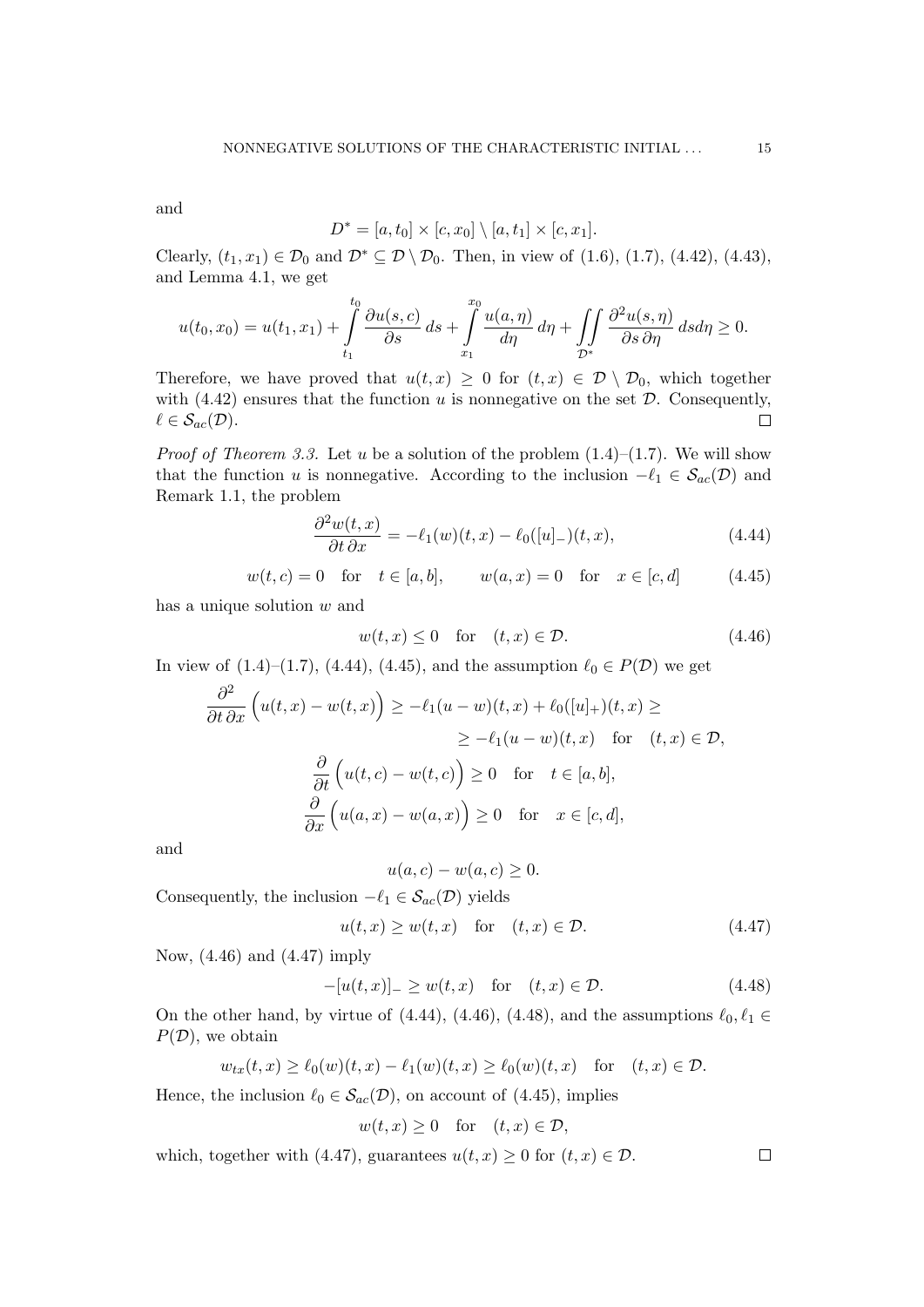and

$$
D^* = [a, t_0] \times [c, x_0] \setminus [a, t_1] \times [c, x_1].
$$

Clearly,  $(t_1, x_1) \in \mathcal{D}_0$  and  $\mathcal{D}^* \subseteq \mathcal{D} \setminus \mathcal{D}_0$ . Then, in view of  $(1.6)$ ,  $(1.7)$ ,  $(4.42)$ ,  $(4.43)$ , and Lemma 4.1, we get

$$
u(t_0, x_0) = u(t_1, x_1) + \int_{t_1}^{t_0} \frac{\partial u(s, c)}{\partial s} ds + \int_{x_1}^{x_0} \frac{u(a, \eta)}{d\eta} d\eta + \iint_{\mathcal{D}^*} \frac{\partial^2 u(s, \eta)}{\partial s \partial \eta} ds d\eta \ge 0.
$$

Therefore, we have proved that  $u(t,x) \geq 0$  for  $(t,x) \in \mathcal{D} \setminus \mathcal{D}_0$ , which together with  $(4.42)$  ensures that the function u is nonnegative on the set  $D$ . Consequently,  $\ell \in \mathcal{S}_{ac}(\mathcal{D}).$  $\Box$ 

*Proof of Theorem 3.3.* Let u be a solution of the problem  $(1.4)$ – $(1.7)$ . We will show that the function u is nonnegative. According to the inclusion  $-\ell_1 \in S_{ac}(\mathcal{D})$  and Remark 1.1, the problem

$$
\frac{\partial^2 w(t, x)}{\partial t \partial x} = -\ell_1(w)(t, x) - \ell_0([u]_-)(t, x), \qquad (4.44)
$$

$$
w(t, c) = 0
$$
 for  $t \in [a, b]$ ,  $w(a, x) = 0$  for  $x \in [c, d]$  (4.45)

has a unique solution w and

$$
w(t, x) \le 0 \quad \text{for} \quad (t, x) \in \mathcal{D}.\tag{4.46}
$$

In view of  $(1.4)$ – $(1.7)$ ,  $(4.44)$ ,  $(4.45)$ , and the assumption  $\ell_0 \in P(\mathcal{D})$  we get

$$
\frac{\partial^2}{\partial t \partial x} \left( u(t, x) - w(t, x) \right) \ge -\ell_1 (u - w)(t, x) + \ell_0([u]_+)(t, x) \ge
$$
  
\n
$$
\ge -\ell_1 (u - w)(t, x) \quad \text{for} \quad (t, x) \in \mathcal{D},
$$
  
\n
$$
\frac{\partial}{\partial t} \left( u(t, c) - w(t, c) \right) \ge 0 \quad \text{for} \quad t \in [a, b],
$$
  
\n
$$
\frac{\partial}{\partial x} \left( u(a, x) - w(a, x) \right) \ge 0 \quad \text{for} \quad x \in [c, d],
$$

and

$$
u(a,c) - w(a,c) \ge 0.
$$

Consequently, the inclusion  $-\ell_1 \in \mathcal{S}_{ac}(\mathcal{D})$  yields

$$
u(t,x) \ge w(t,x) \quad \text{for} \quad (t,x) \in \mathcal{D}.\tag{4.47}
$$

Now, (4.46) and (4.47) imply

$$
-[u(t,x)]_{-} \ge w(t,x) \quad \text{for} \quad (t,x) \in \mathcal{D}.\tag{4.48}
$$

On the other hand, by virtue of (4.44), (4.46), (4.48), and the assumptions  $\ell_0, \ell_1 \in$  $P(\mathcal{D})$ , we obtain

$$
w_{tx}(t,x) \ge \ell_0(w)(t,x) - \ell_1(w)(t,x) \ge \ell_0(w)(t,x) \quad \text{for} \quad (t,x) \in \mathcal{D}.
$$

Hence, the inclusion  $\ell_0 \in \mathcal{S}_{ac}(\mathcal{D})$ , on account of (4.45), implies

$$
w(t, x) \ge 0 \quad \text{for} \quad (t, x) \in \mathcal{D},
$$

which, together with (4.47), guarantees  $u(t, x) \geq 0$  for  $(t, x) \in \mathcal{D}$ .

 $\Box$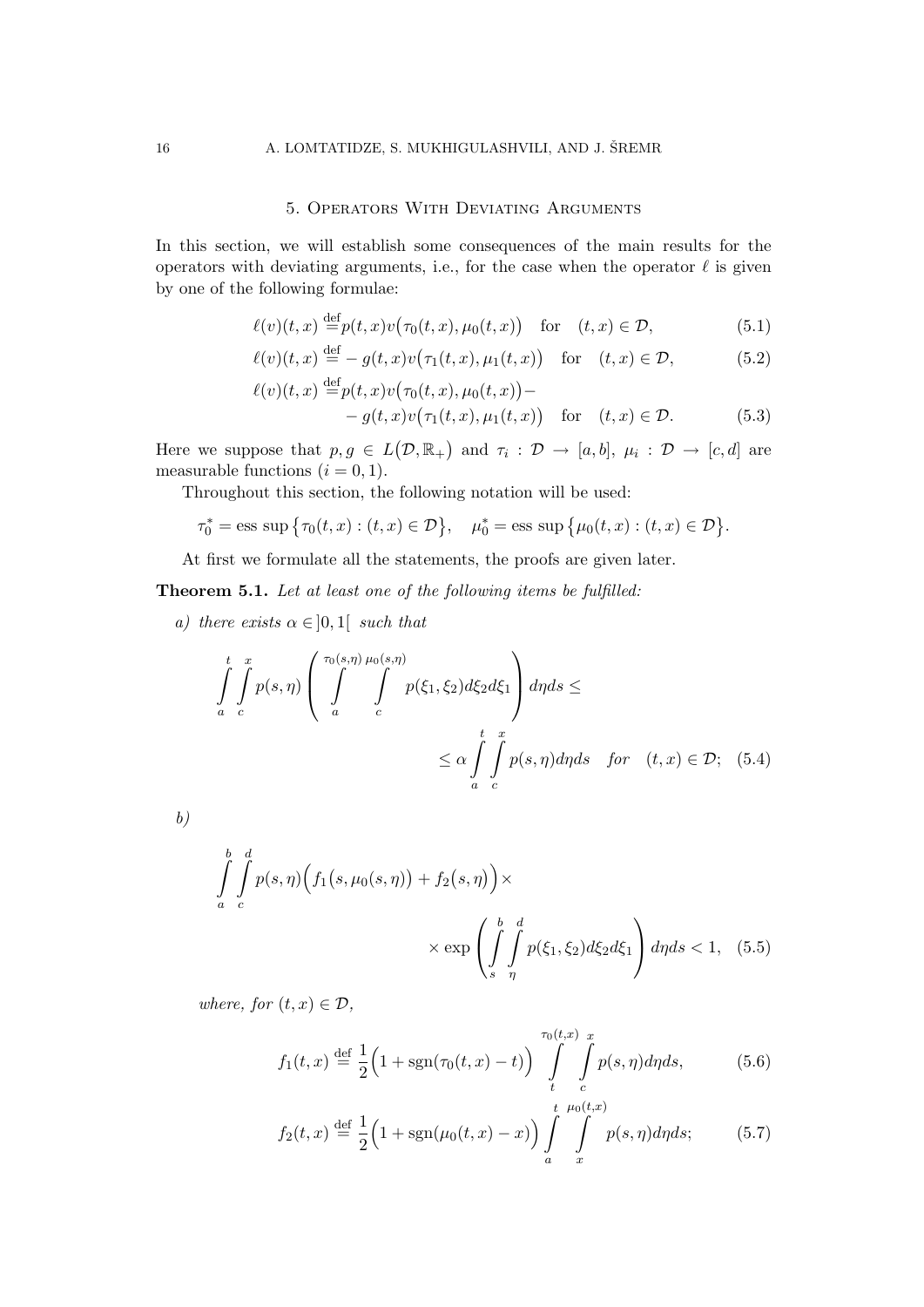#### 5. Operators With Deviating Arguments

In this section, we will establish some consequences of the main results for the operators with deviating arguments, i.e., for the case when the operator  $\ell$  is given by one of the following formulae:

$$
\ell(v)(t,x) \stackrel{\text{def}}{=} p(t,x)v(\tau_0(t,x), \mu_0(t,x)) \quad \text{for} \quad (t,x) \in \mathcal{D},\tag{5.1}
$$

$$
\ell(v)(t,x) \stackrel{\text{def}}{=} -g(t,x)v(\tau_1(t,x),\mu_1(t,x)) \quad \text{for} \quad (t,x) \in \mathcal{D},\tag{5.2}
$$

$$
\ell(v)(t,x) \stackrel{\text{def}}{=} p(t,x)v(\tau_0(t,x), \mu_0(t,x)) -
$$
  

$$
- g(t,x)v(\tau_1(t,x), \mu_1(t,x)) \quad \text{for} \quad (t,x) \in \mathcal{D}.
$$
 (5.3)

Here we suppose that  $p, g \in L(\mathcal{D}, \mathbb{R}_+)$  and  $\tau_i : \mathcal{D} \to [a, b], \mu_i : \mathcal{D} \to [c, d]$  are measurable functions  $(i = 0, 1)$ .

Throughout this section, the following notation will be used:

$$
\tau_0^* = \text{ess sup } \{\tau_0(t, x) : (t, x) \in \mathcal{D}\}, \quad \mu_0^* = \text{ess sup } \{\mu_0(t, x) : (t, x) \in \mathcal{D}\}.
$$

At first we formulate all the statements, the proofs are given later.

Theorem 5.1. Let at least one of the following items be fulfilled:

a) there exists  $\alpha \in ]0,1[$  such that

$$
\int_{a}^{t} \int_{c}^{x} p(s,\eta) \left( \int_{a}^{\tau_{0}(s,\eta)} \int_{c}^{\mu_{0}(s,\eta)} p(\xi_{1},\xi_{2}) d\xi_{2} d\xi_{1} \right) d\eta ds \le
$$
\n
$$
\le \alpha \int_{a}^{t} \int_{c}^{x} p(s,\eta) d\eta ds \quad \text{for} \quad (t,x) \in \mathcal{D}; \quad (5.4)
$$

b)

$$
\int_{a}^{b} \int_{c}^{d} p(s, \eta) \Big( f_1(s, \mu_0(s, \eta)) + f_2(s, \eta) \Big) \times \times \exp \left( \int_{s}^{b} \int_{\eta}^{d} p(\xi_1, \xi_2) d\xi_2 d\xi_1 \right) d\eta ds < 1, \quad (5.5)
$$

where, for  $(t, x) \in \mathcal{D}$ ,

$$
f_1(t,x) \stackrel{\text{def}}{=} \frac{1}{2} \Big( 1 + \text{sgn}(\tau_0(t,x) - t) \Big) \int_{t}^{\tau_0(t,x)} \int_{c}^{x} p(s,\eta) d\eta ds, \tag{5.6}
$$

$$
f_2(t,x) \stackrel{\text{def}}{=} \frac{1}{2} \Big( 1 + \text{sgn}(\mu_0(t,x) - x) \Big) \int_a^t \int_x^{\mu_0(t,x)} p(s,\eta) d\eta ds; \tag{5.7}
$$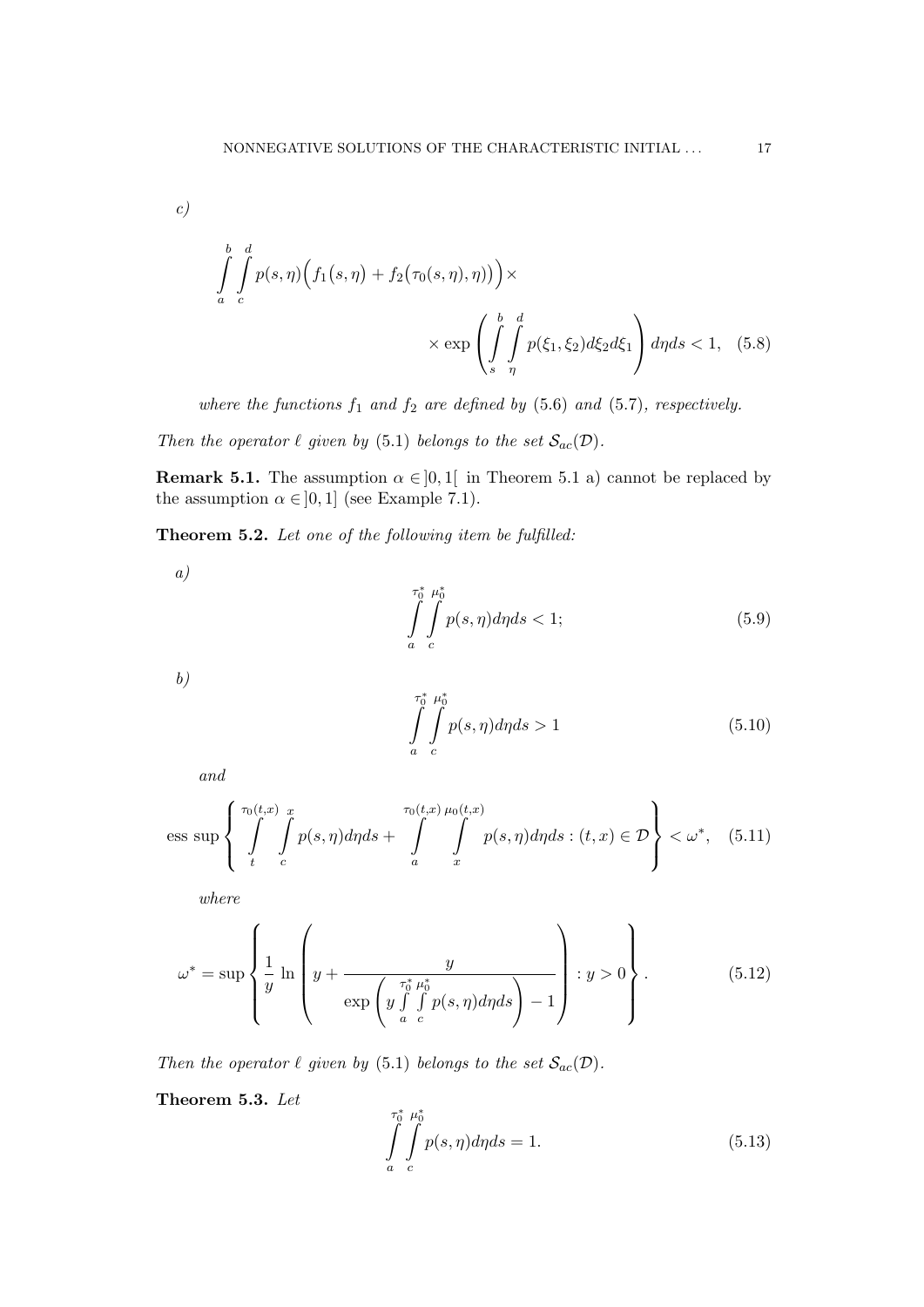c)

$$
\int_{a}^{b} \int_{c}^{d} p(s, \eta) \Big( f_1(s, \eta) + f_2(\tau_0(s, \eta), \eta) \Big) \times \times \exp \left( \int_{s}^{b} \int_{\eta}^{d} p(\xi_1, \xi_2) d\xi_2 d\xi_1 \right) d\eta ds < 1, \quad (5.8)
$$

where the functions  $f_1$  and  $f_2$  are defined by (5.6) and (5.7), respectively.

Then the operator  $\ell$  given by (5.1) belongs to the set  $\mathcal{S}_{ac}(\mathcal{D})$ .

**Remark 5.1.** The assumption  $\alpha \in ]0,1[$  in Theorem 5.1 a) cannot be replaced by the assumption  $\alpha \in ]0,1]$  (see Example 7.1).

Theorem 5.2. Let one of the following item be fulfilled:

$$
\int_{a}^{\tau_0^*} \int_{c}^{\mu_0^*} p(s, \eta) d\eta ds < 1; \tag{5.9}
$$

b)

a)

$$
\int_{a}^{\tau_0^*} \int_{c}^{\mu_0^*} p(s,\eta) d\eta ds > 1
$$
\n(5.10)

and

ess sup 
$$
\left\{\int\limits_t^{\tau_0(t,x)}\int\limits_c^x p(s,\eta)d\eta ds + \int\limits_a^{\tau_0(t,x)}\int\limits_x^{\mu_0(t,x)} p(s,\eta)d\eta ds : (t,x) \in \mathcal{D}\right\} < \omega^*, \quad (5.11)
$$

where

$$
\omega^* = \sup \left\{ \frac{1}{y} \ln \left( y + \frac{y}{\exp\left( y \int\limits_a^{\tau_0^*} \int\limits_c^{\mu_0^*} p(s, \eta) d\eta ds \right) - 1} \right) : y > 0 \right\}.
$$
 (5.12)

Then the operator  $\ell$  given by (5.1) belongs to the set  $\mathcal{S}_{ac}(\mathcal{D})$ .

Theorem 5.3. Let

$$
\int_{a}^{\tau_0^*} \int_{c}^{\mu_0^*} p(s, \eta) d\eta ds = 1.
$$
\n(5.13)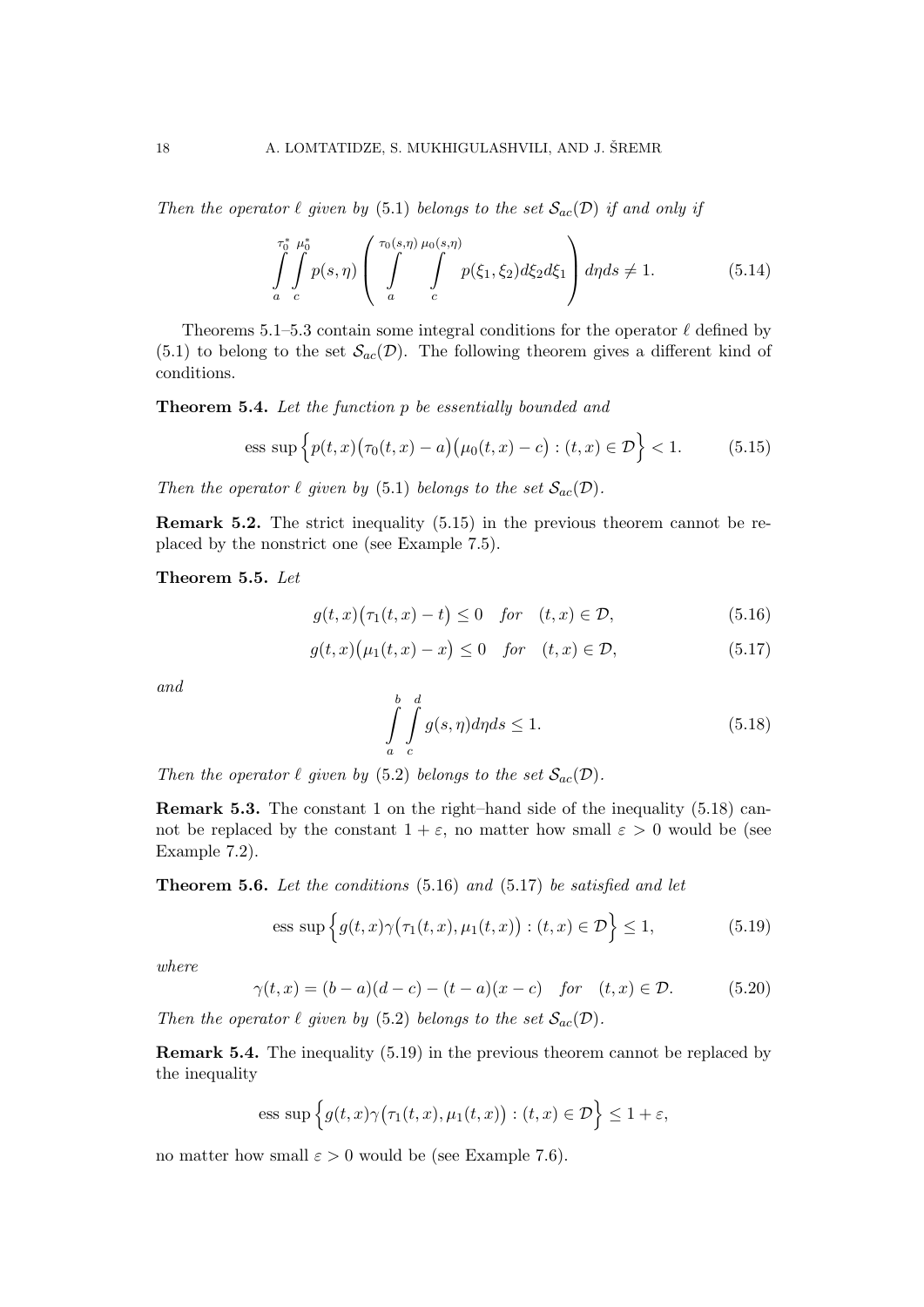Then the operator  $\ell$  given by (5.1) belongs to the set  $\mathcal{S}_{ac}(\mathcal{D})$  if and only if

$$
\int_{a}^{\tau_0^*} \int_{c}^{\mu_0^*} p(s,\eta) \left( \int_{a}^{\tau_0(s,\eta)} \int_{c}^{\mu_0(s,\eta)} p(\xi_1,\xi_2) d\xi_2 d\xi_1 \right) d\eta ds \neq 1.
$$
 (5.14)

Theorems 5.1–5.3 contain some integral conditions for the operator  $\ell$  defined by  $(5.1)$  to belong to the set  $\mathcal{S}_{ac}(\mathcal{D})$ . The following theorem gives a different kind of conditions.

Theorem 5.4. Let the function p be essentially bounded and

ess sup 
$$
\left\{ p(t,x) (\tau_0(t,x) - a) (\mu_0(t,x) - c) : (t,x) \in \mathcal{D} \right\}
$$
 < 1. (5.15)

Then the operator  $\ell$  given by (5.1) belongs to the set  $\mathcal{S}_{ac}(\mathcal{D})$ .

Remark 5.2. The strict inequality (5.15) in the previous theorem cannot be replaced by the nonstrict one (see Example 7.5).

Theorem 5.5. Let

$$
g(t,x)\big(\tau_1(t,x)-t\big)\leq 0 \quad \text{for} \quad (t,x)\in\mathcal{D},\tag{5.16}
$$

$$
g(t,x)\big(\mu_1(t,x)-x\big) \le 0 \quad \text{for} \quad (t,x) \in \mathcal{D},\tag{5.17}
$$

and

$$
\int_{a}^{b} \int_{c}^{d} g(s, \eta) d\eta ds \le 1.
$$
\n(5.18)

Then the operator  $\ell$  given by (5.2) belongs to the set  $\mathcal{S}_{ac}(\mathcal{D})$ .

Remark 5.3. The constant 1 on the right–hand side of the inequality (5.18) cannot be replaced by the constant  $1 + \varepsilon$ , no matter how small  $\varepsilon > 0$  would be (see Example 7.2).

**Theorem 5.6.** Let the conditions  $(5.16)$  and  $(5.17)$  be satisfied and let

ess sup 
$$
\left\{ g(t, x) \gamma \big( \tau_1(t, x), \mu_1(t, x) \big) : (t, x) \in \mathcal{D} \right\} \le 1,
$$
 (5.19)

where

$$
\gamma(t, x) = (b - a)(d - c) - (t - a)(x - c)
$$
 for  $(t, x) \in \mathcal{D}$ . (5.20)

Then the operator  $\ell$  given by (5.2) belongs to the set  $\mathcal{S}_{ac}(\mathcal{D})$ .

Remark 5.4. The inequality (5.19) in the previous theorem cannot be replaced by the inequality

ess sup 
$$
\left\{ g(t,x)\gamma(\tau_1(t,x),\mu_1(t,x)) : (t,x) \in \mathcal{D} \right\} \leq 1 + \varepsilon
$$
,

no matter how small  $\varepsilon > 0$  would be (see Example 7.6).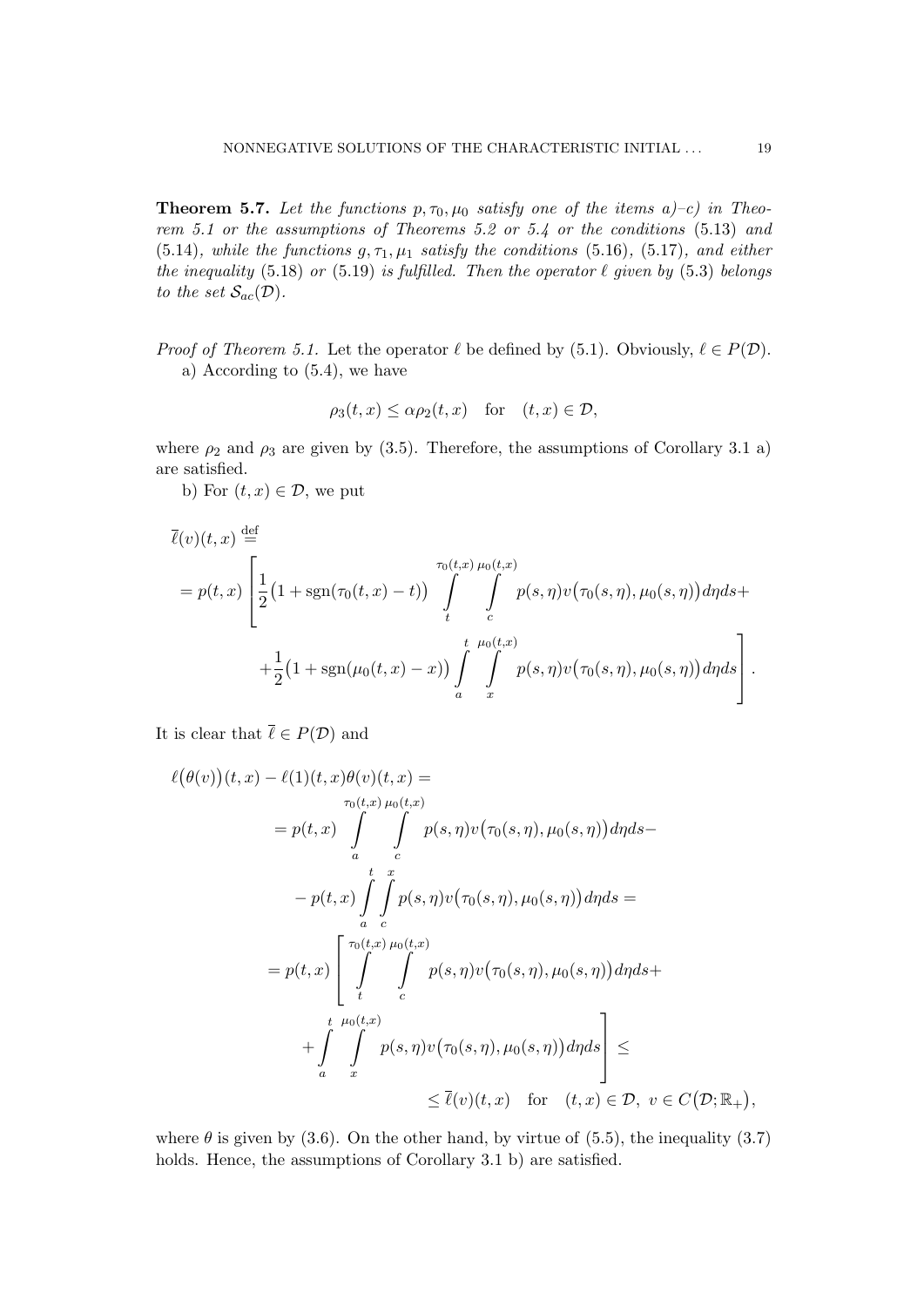**Theorem 5.7.** Let the functions  $p, \tau_0, \mu_0$  satisfy one of the items  $a$ )-c) in Theorem 5.1 or the assumptions of Theorems 5.2 or 5.4 or the conditions (5.13) and (5.14), while the functions  $g, \tau_1, \mu_1$  satisfy the conditions (5.16), (5.17), and either the inequality (5.18) or (5.19) is fulfilled. Then the operator  $\ell$  given by (5.3) belongs to the set  $\mathcal{S}_{ac}(\mathcal{D})$ .

*Proof of Theorem 5.1.* Let the operator  $\ell$  be defined by (5.1). Obviously,  $\ell \in P(\mathcal{D})$ . a) According to (5.4), we have

$$
\rho_3(t, x) \le \alpha \rho_2(t, x) \quad \text{for} \quad (t, x) \in \mathcal{D},
$$

where  $\rho_2$  and  $\rho_3$  are given by (3.5). Therefore, the assumptions of Corollary 3.1 a) are satisfied.

b) For  $(t, x) \in \mathcal{D}$ , we put

$$
\overline{\ell}(v)(t,x) \stackrel{\text{def}}{=} \\
= p(t,x) \left[ \frac{1}{2} \left( 1 + \text{sgn}(\tau_0(t,x) - t) \right) \int_t^{\tau_0(t,x)} \int_c^{\tau_0(t,x)} p(s,\eta) v(\tau_0(s,\eta), \mu_0(s,\eta)) d\eta ds + \frac{1}{2} \left( 1 + \text{sgn}(\mu_0(t,x) - x) \right) \int_a^t \int_x^{\mu_0(t,x)} p(s,\eta) v(\tau_0(s,\eta), \mu_0(s,\eta)) d\eta ds \right].
$$

It is clear that  $\bar{\ell} \in P(\mathcal{D})$  and

$$
\ell(\theta(v))(t, x) - \ell(1)(t, x)\theta(v)(t, x) =
$$
  
\n
$$
= p(t, x) \int_{a}^{\tau_0(t, x)} \int_{c}^{\rho(s, \eta)v(\tau_0(s, \eta), \mu_0(s, \eta))d\eta ds -
$$
  
\n
$$
- p(t, x) \int_{a}^{t} \int_{c}^{x} p(s, \eta)v(\tau_0(s, \eta), \mu_0(s, \eta))d\eta ds =
$$
  
\n
$$
= p(t, x) \left[ \int_{t}^{\tau_0(t, x)} \int_{c}^{\rho(s, \eta)v(\tau_0(s, \eta), \mu_0(s, \eta))d\eta ds +
$$
  
\n
$$
+ \int_{a}^{t} \int_{x}^{\mu_0(t, x)} p(s, \eta)v(\tau_0(s, \eta), \mu_0(s, \eta))d\eta ds \right] \le
$$
  
\n
$$
\leq \ell(v)(t, x) \quad \text{for} \quad (t, x) \in \mathcal{D}, \ v \in C(\mathcal{D}; \mathbb{R}_+),
$$

where  $\theta$  is given by (3.6). On the other hand, by virtue of (5.5), the inequality (3.7) holds. Hence, the assumptions of Corollary 3.1 b) are satisfied.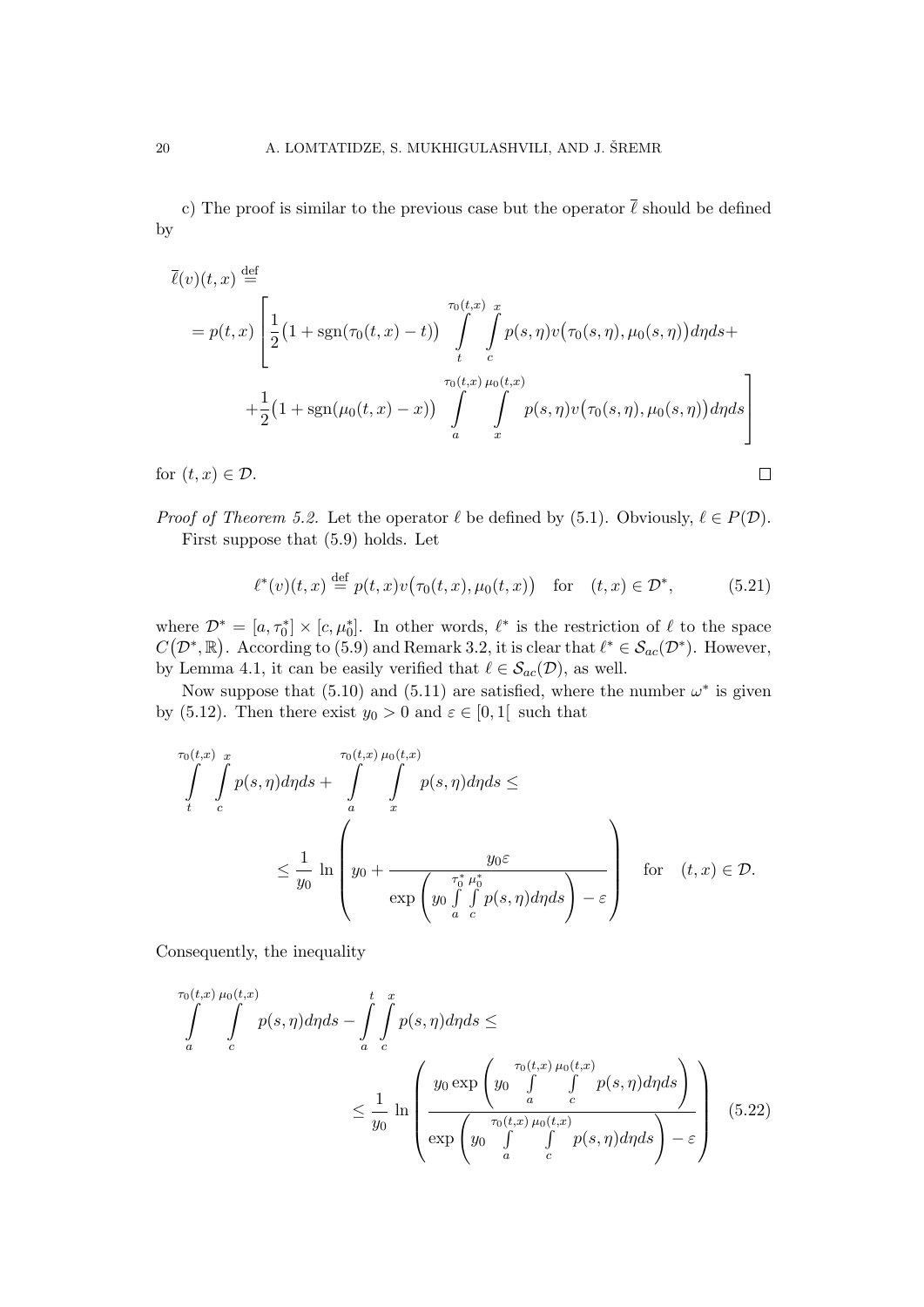c) The proof is similar to the previous case but the operator  $\bar{\ell}$  should be defined by

$$
\overline{\ell}(v)(t,x) \stackrel{\text{def}}{=} \n= p(t,x) \left[ \frac{1}{2} (1 + \text{sgn}(\tau_0(t,x) - t)) \int_t^{\tau_0(t,x)} \int_t^x p(s,\eta) v(\tau_0(s,\eta), \mu_0(s,\eta)) d\eta ds + \\ + \frac{1}{2} (1 + \text{sgn}(\mu_0(t,x) - x)) \int_a^{\tau_0(t,x)} \int_t^x p(s,\eta) v(\tau_0(s,\eta), \mu_0(s,\eta)) d\eta ds \right]
$$

for  $(t, x) \in \mathcal{D}$ .

*Proof of Theorem 5.2.* Let the operator  $\ell$  be defined by (5.1). Obviously,  $\ell \in P(\mathcal{D})$ . First suppose that (5.9) holds. Let

$$
\ell^*(v)(t,x) \stackrel{\text{def}}{=} p(t,x)v(\tau_0(t,x), \mu_0(t,x)) \quad \text{for} \quad (t,x) \in \mathcal{D}^*, \tag{5.21}
$$

 $\Box$ 

where  $\mathcal{D}^* = [a, \tau_0^*] \times [c, \mu_0^*]$ . In other words,  $\ell^*$  is the restriction of  $\ell$  to the space  $C(\mathcal{D}^*, \mathbb{R})$ . According to (5.9) and Remark 3.2, it is clear that  $\ell^* \in \mathcal{S}_{ac}(\mathcal{D}^*)$ . However, by Lemma 4.1, it can be easily verified that  $\ell \in S_{ac}(\mathcal{D})$ , as well.

Now suppose that  $(5.10)$  and  $(5.11)$  are satisfied, where the number  $\omega^*$  is given by (5.12). Then there exist  $y_0 > 0$  and  $\varepsilon \in [0,1]$  such that

$$
\int_{t}^{\tau_{0}(t,x)} \int_{c}^{x} p(s,\eta) d\eta ds + \int_{a}^{\tau_{0}(t,x)} \int_{x}^{p(s,\eta) d\eta ds \leq
$$
\n
$$
\leq \frac{1}{y_{0}} \ln \left( y_{0} + \frac{y_{0} \varepsilon}{\exp \left( y_{0} \int_{a}^{\tau_{0}^{*}} \mu_{0}^{*}(s,\eta) d\eta ds \right) - \varepsilon} \right) \quad \text{for} \quad (t,x) \in \mathcal{D}.
$$

Consequently, the inequality

$$
\int_{a}^{\tau_{0}(t,x)} \int_{c}^{\mu_{0}(t,x)} p(s,\eta) d\eta ds - \int_{a}^{t} \int_{c}^{x} p(s,\eta) d\eta ds \le
$$
\n
$$
\leq \frac{1}{y_{0}} \ln \left( \frac{y_{0} \exp \left( y_{0} \int_{a}^{\tau_{0}(t,x)} \int_{c}^{b} p(s,\eta) d\eta ds \right)}{\exp \left( y_{0} \int_{a}^{\tau_{0}(t,x)} \int_{c}^{b} p(s,\eta) d\eta ds \right) - \varepsilon} \right) (5.22)
$$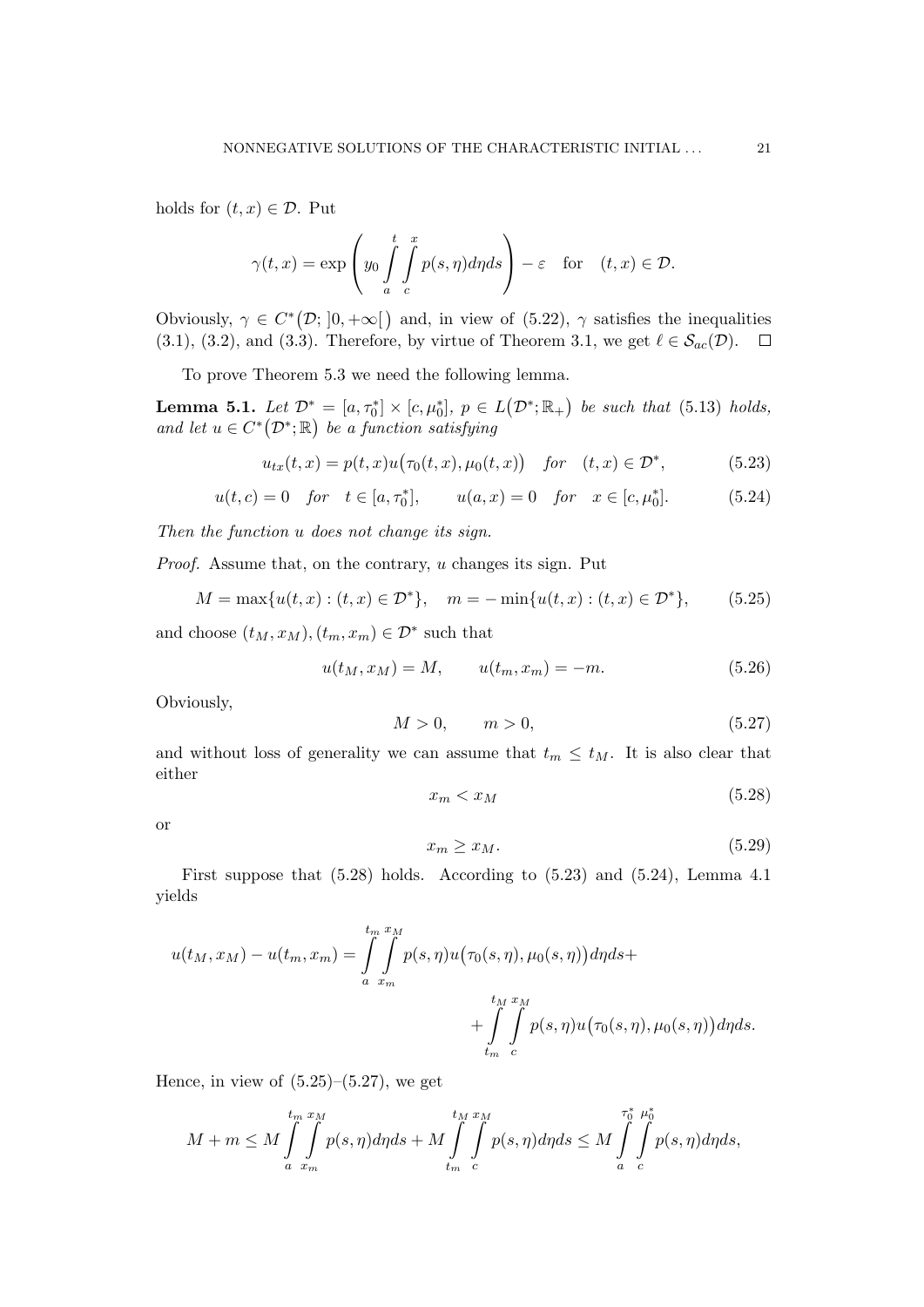holds for  $(t, x) \in \mathcal{D}$ . Put

$$
\gamma(t,x) = \exp\left(y_0 \int\limits_a^t \int\limits_c^x p(s,\eta) d\eta ds\right) - \varepsilon \quad \text{for} \quad (t,x) \in \mathcal{D}.
$$

Obviously,  $\gamma \in C^*(\mathcal{D}; [0, +\infty[)$  and, in view of  $(5.22)$ ,  $\gamma$  satisfies the inequalities (3.1), (3.2), and (3.3). Therefore, by virtue of Theorem 3.1, we get  $\ell \in S_{ac}(\mathcal{D})$ .  $\Box$ 

To prove Theorem 5.3 we need the following lemma.

**Lemma 5.1.** Let  $\mathcal{D}^* = [a, \tau_0^*] \times [c, \mu_0^*], p \in L(\mathcal{D}^*; \mathbb{R}_+)$  be such that (5.13) holds, and let  $u \in C^*(\mathcal{D}^*; \mathbb{R})$  be a function satisfying

$$
u_{tx}(t,x) = p(t,x)u(\tau_0(t,x),\mu_0(t,x)) \quad \text{for} \quad (t,x) \in \mathcal{D}^*, \tag{5.23}
$$

$$
u(t, c) = 0
$$
 for  $t \in [a, \tau_0^*]$ ,  $u(a, x) = 0$  for  $x \in [c, \mu_0^*]$ . (5.24)

Then the function u does not change its sign.

Proof. Assume that, on the contrary, u changes its sign. Put

$$
M = \max\{u(t, x) : (t, x) \in \mathcal{D}^*\}, \quad m = -\min\{u(t, x) : (t, x) \in \mathcal{D}^*\},\tag{5.25}
$$

and choose  $(t_M, x_M), (t_m, x_m) \in \mathcal{D}^*$  such that

$$
u(t_M, x_M) = M, \qquad u(t_m, x_m) = -m. \tag{5.26}
$$

Obviously,

$$
M > 0, \qquad m > 0,\tag{5.27}
$$

and without loss of generality we can assume that  $t_m \leq t_M$ . It is also clear that either

$$
x_m < x_M \tag{5.28}
$$

or

$$
x_m \ge x_M. \tag{5.29}
$$

First suppose that  $(5.28)$  holds. According to  $(5.23)$  and  $(5.24)$ , Lemma 4.1 yields

$$
u(t_M, x_M) - u(t_m, x_m) = \int_{a}^{t_m} \int_{x_m}^{x_M} p(s, \eta) u(\tau_0(s, \eta), \mu_0(s, \eta)) d\eta ds + + \int_{t_m}^{t_M} \int_{c}^{x_M} p(s, \eta) u(\tau_0(s, \eta), \mu_0(s, \eta)) d\eta ds.
$$

Hence, in view of  $(5.25)$ – $(5.27)$ , we get

$$
M+m\leq M\int_{a}^{t_m}\int_{x_m}^{x_M}p(s,\eta)d\eta ds+M\int_{t_m}^{t_M}\int_{c}^{x_M}p(s,\eta)d\eta ds\leq M\int_{a}^{\frac{\tau_{0}^{*}}{\tau_{0}^{*}}}\int_{c}^{\mu_{0}^{*}}p(s,\eta)d\eta ds,
$$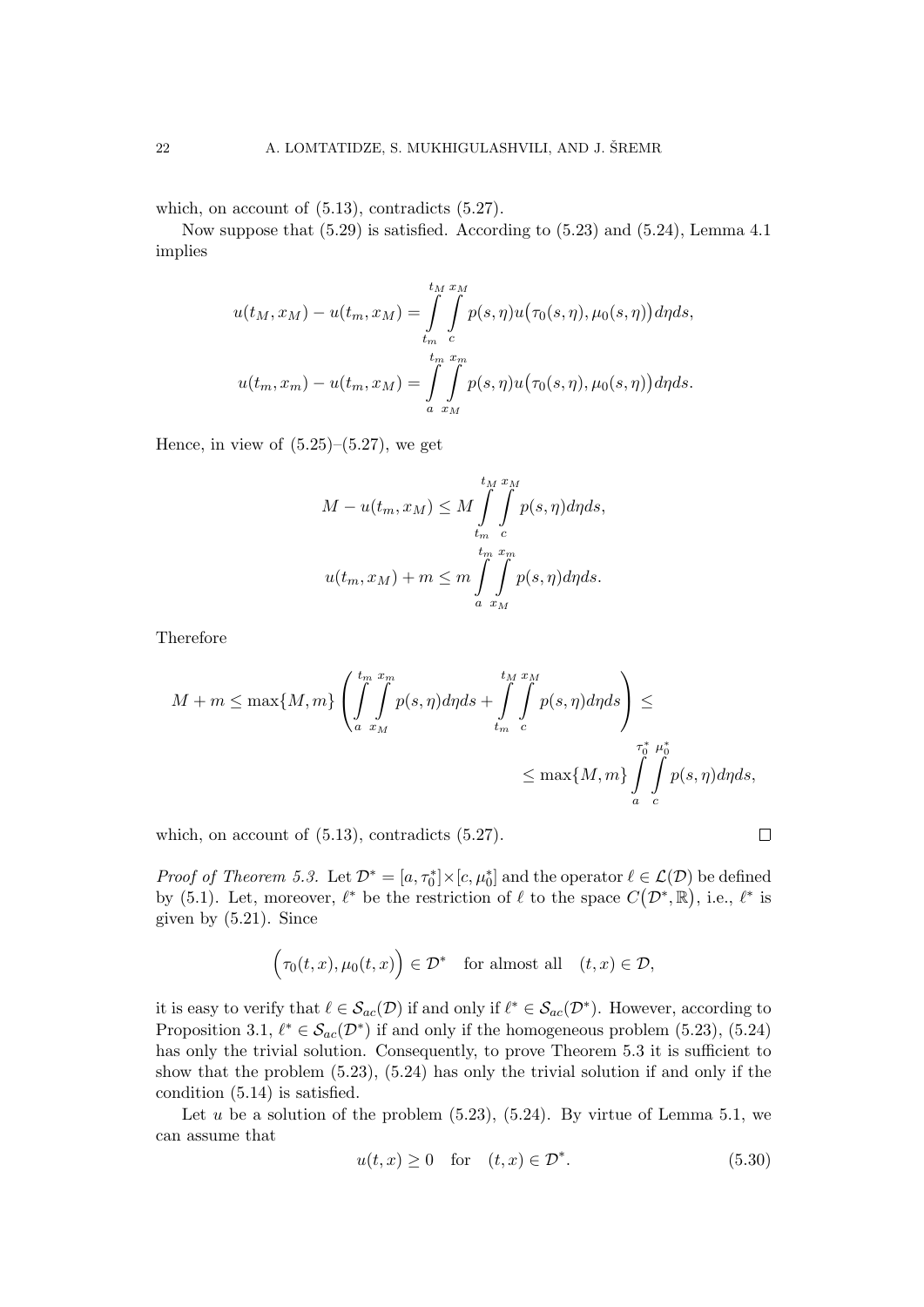which, on account of  $(5.13)$ , contradicts  $(5.27)$ .

Now suppose that (5.29) is satisfied. According to (5.23) and (5.24), Lemma 4.1 implies

$$
u(t_M, x_M) - u(t_m, x_M) = \int_{t_m}^{t_M} \int_{c}^{x_M} p(s, \eta) u(\tau_0(s, \eta), \mu_0(s, \eta)) d\eta ds,
$$
  

$$
u(t_m, x_m) - u(t_m, x_M) = \int_{a}^{t_m} \int_{x_M}^{x_m} p(s, \eta) u(\tau_0(s, \eta), \mu_0(s, \eta)) d\eta ds.
$$

Hence, in view of  $(5.25)$ – $(5.27)$ , we get

$$
M - u(t_m, x_M) \le M \int_{t_m}^{t_M} \int_{c}^{x_M} p(s, \eta) d\eta ds,
$$
  

$$
u(t_m, x_M) + m \le m \int_{a}^{t_m} \int_{x_M}^{x_m} p(s, \eta) d\eta ds.
$$

Therefore

$$
M + m \le \max\{M, m\} \left( \int_{a}^{t_m} \int_{x_M}^{x_m} p(s, \eta) d\eta ds + \int_{t_m}^{t_M} \int_{c}^{x_M} p(s, \eta) d\eta ds \right) \le
$$
  

$$
\le \max\{M, m\} \int_{a}^{\tau_0^*} \int_{c}^{\mu_0^*} p(s, \eta) d\eta ds,
$$

which, on account of  $(5.13)$ , contradicts  $(5.27)$ .

$$
\Box
$$

*Proof of Theorem 5.3.* Let  $\mathcal{D}^* = [a, \tau_0^*] \times [c, \mu_0^*]$  and the operator  $\ell \in \mathcal{L}(\mathcal{D})$  be defined by (5.1). Let, moreover,  $\ell^*$  be the restriction of  $\ell$  to the space  $C(\mathcal{D}^*, \mathbb{R})$ , i.e.,  $\ell^*$  is given by (5.21). Since

$$
(\tau_0(t,x), \mu_0(t,x)) \in \mathcal{D}^* \text{ for almost all } (t,x) \in \mathcal{D},
$$

it is easy to verify that  $\ell \in \mathcal{S}_{ac}(\mathcal{D})$  if and only if  $\ell^* \in \mathcal{S}_{ac}(\mathcal{D}^*)$ . However, according to Proposition 3.1,  $\ell^* \in \mathcal{S}_{ac}(\mathcal{D}^*)$  if and only if the homogeneous problem (5.23), (5.24) has only the trivial solution. Consequently, to prove Theorem 5.3 it is sufficient to show that the problem (5.23), (5.24) has only the trivial solution if and only if the condition (5.14) is satisfied.

Let u be a solution of the problem  $(5.23)$ ,  $(5.24)$ . By virtue of Lemma 5.1, we can assume that

$$
u(t,x) \ge 0 \quad \text{for} \quad (t,x) \in \mathcal{D}^*.
$$
 (5.30)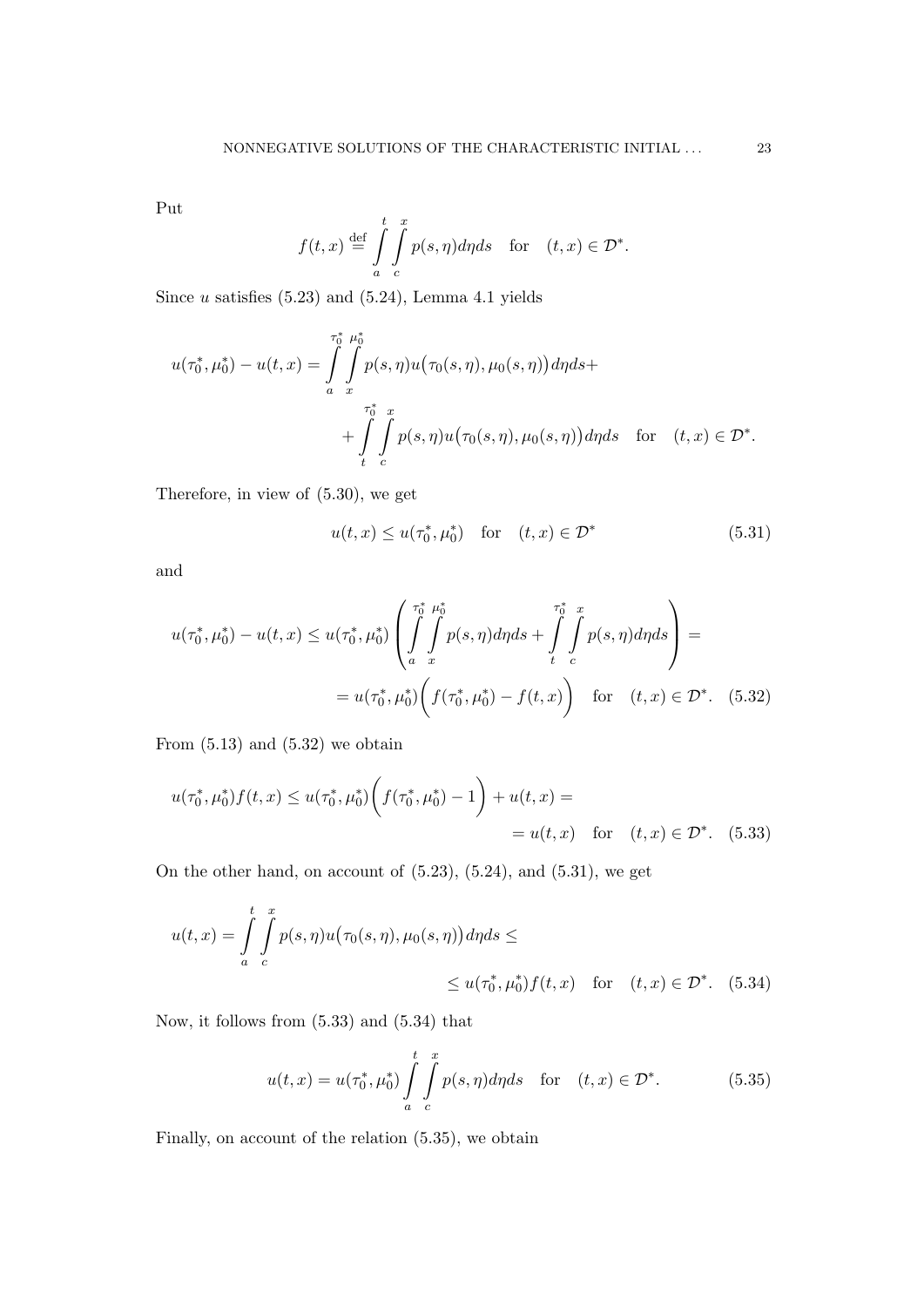Put

$$
f(t,x) \stackrel{\text{def}}{=} \int\limits_{a}^{t} \int\limits_{c}^{x} p(s,\eta) d\eta ds \quad \text{for} \quad (t,x) \in \mathcal{D}^*.
$$

Since  $u$  satisfies  $(5.23)$  and  $(5.24)$ , Lemma 4.1 yields

$$
u(\tau_0^*, \mu_0^*) - u(t, x) = \int\limits_{a}^{\tau_0^*} \int\limits_{x}^{\mu_0^*} p(s, \eta) u(\tau_0(s, \eta), \mu_0(s, \eta)) d\eta ds + + \int\limits_{t}^{\tau_0^*} \int\limits_{c}^{x} p(s, \eta) u(\tau_0(s, \eta), \mu_0(s, \eta)) d\eta ds \quad \text{for} \quad (t, x) \in \mathcal{D}^*.
$$

Therefore, in view of (5.30), we get

$$
u(t,x) \le u(\tau_0^*, \mu_0^*) \quad \text{for} \quad (t,x) \in \mathcal{D}^* \tag{5.31}
$$

and

$$
u(\tau_0^*, \mu_0^*) - u(t, x) \le u(\tau_0^*, \mu_0^*) \left( \int\limits_a^{\tau_0^*} \int\limits_x^{\mu_0^*} p(s, \eta) d\eta ds + \int\limits_t^{\tau_0^*} \int\limits_c^x p(s, \eta) d\eta ds \right) =
$$
  
=  $u(\tau_0^*, \mu_0^*) \left( f(\tau_0^*, \mu_0^*) - f(t, x) \right)$  for  $(t, x) \in \mathcal{D}^*$ . (5.32)

From  $(5.13)$  and  $(5.32)$  we obtain

$$
u(\tau_0^*, \mu_0^*) f(t, x) \le u(\tau_0^*, \mu_0^*) \bigg( f(\tau_0^*, \mu_0^*) - 1 \bigg) + u(t, x) =
$$
  
=  $u(t, x)$  for  $(t, x) \in \mathcal{D}^*$ . (5.33)

On the other hand, on account of (5.23), (5.24), and (5.31), we get

$$
u(t,x) = \int_{a}^{t} \int_{c}^{x} p(s,\eta)u(\tau_0(s,\eta),\mu_0(s,\eta))d\eta ds \le
$$
  
 
$$
\leq u(\tau_0^*,\mu_0^*)f(t,x) \text{ for } (t,x) \in \mathcal{D}^*. \quad (5.34)
$$

Now, it follows from (5.33) and (5.34) that

$$
u(t,x) = u(\tau_0^*, \mu_0^*) \int_a^t \int_c^x p(s,\eta) d\eta ds \quad \text{for} \quad (t,x) \in \mathcal{D}^*.
$$
 (5.35)

Finally, on account of the relation (5.35), we obtain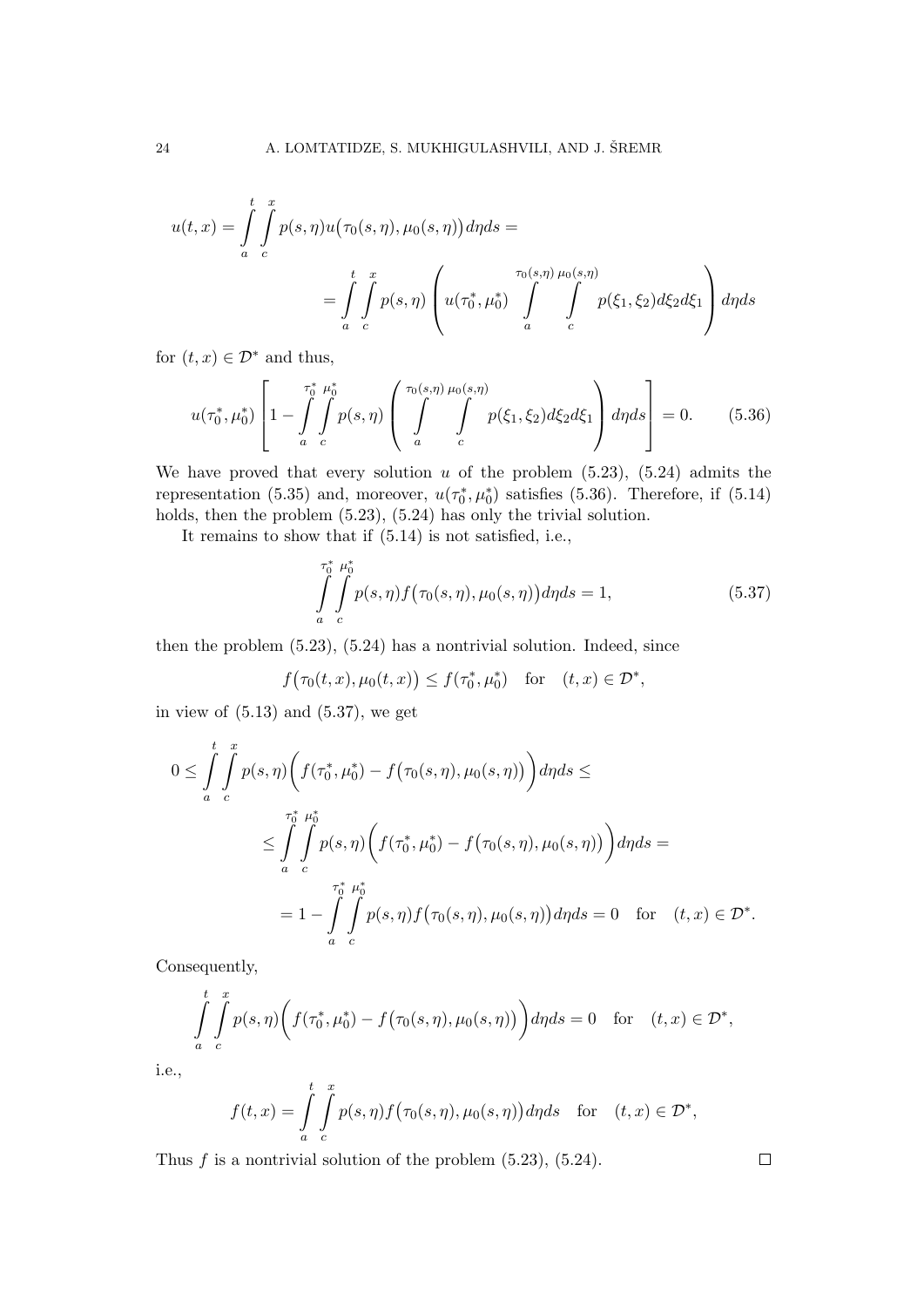$$
u(t,x) = \int_{a}^{t} \int_{c}^{x} p(s,\eta)u(\tau_0(s,\eta),\mu_0(s,\eta))d\eta ds =
$$
  

$$
= \int_{a}^{t} \int_{c}^{x} p(s,\eta) \left( u(\tau_0^*,\mu_0^*) \int_{a}^{\tau_0(s,\eta)} \int_{c}^{\pi_0(s,\eta)} p(\xi_1,\xi_2) d\xi_2 d\xi_1 \right) d\eta ds
$$

for  $(t, x) \in \mathcal{D}^*$  and thus,

$$
u(\tau_0^*, \mu_0^*) \left[ 1 - \int\limits_a^{\tau_0^*} \int\limits_c^{\mu_0^*} p(s, \eta) \left( \int\limits_a^{\tau_0(s, \eta)} \int\limits_c^{\mu_0(s, \eta)} p(\xi_1, \xi_2) d\xi_2 d\xi_1 \right) d\eta ds \right] = 0. \tag{5.36}
$$

We have proved that every solution  $u$  of the problem  $(5.23)$ ,  $(5.24)$  admits the representation (5.35) and, moreover,  $u(\tau_0^*, \mu_0^*)$  satisfies (5.36). Therefore, if (5.14) holds, then the problem (5.23), (5.24) has only the trivial solution.

It remains to show that if (5.14) is not satisfied, i.e.,

$$
\int_{a}^{\tau_0^*} \int_{c}^{\mu_0^*} p(s, \eta) f(\tau_0(s, \eta), \mu_0(s, \eta)) d\eta ds = 1,
$$
\n(5.37)

then the problem (5.23), (5.24) has a nontrivial solution. Indeed, since

 $f(\tau_0(t, x), \mu_0(t, x)) \leq f(\tau_0^*, \mu_0^*)$  for  $(t, x) \in \mathcal{D}^*$ ,

in view of  $(5.13)$  and  $(5.37)$ , we get

$$
0 \leq \int_{a}^{t} \int_{c}^{x} p(s, \eta) \left( f(\tau_0^*, \mu_0^*) - f(\tau_0(s, \eta), \mu_0(s, \eta)) \right) d\eta ds \leq
$$
  

$$
\leq \int_{a}^{\tau_0^*} \int_{c}^{\mu_0^*} p(s, \eta) \left( f(\tau_0^*, \mu_0^*) - f(\tau_0(s, \eta), \mu_0(s, \eta)) \right) d\eta ds =
$$
  

$$
= 1 - \int_{a}^{\tau_0^*} \int_{c}^{\mu_0^*} p(s, \eta) f(\tau_0(s, \eta), \mu_0(s, \eta)) d\eta ds = 0 \text{ for } (t, x) \in \mathcal{D}^*.
$$

Consequently,

$$
\int_{a}^{t} \int_{c}^{x} p(s,\eta) \bigg( f(\tau_0^*,\mu_0^*) - f(\tau_0(s,\eta),\mu_0(s,\eta)) \bigg) d\eta ds = 0 \quad \text{for} \quad (t,x) \in \mathcal{D}^*,
$$

i.e.,

$$
f(t,x) = \int\limits_a^t \int\limits_c^x p(s,\eta) f(\tau_0(s,\eta),\mu_0(s,\eta)) d\eta ds \quad \text{for} \quad (t,x) \in \mathcal{D}^*,
$$

Thus  $f$  is a nontrivial solution of the problem  $(5.23)$ ,  $(5.24)$ .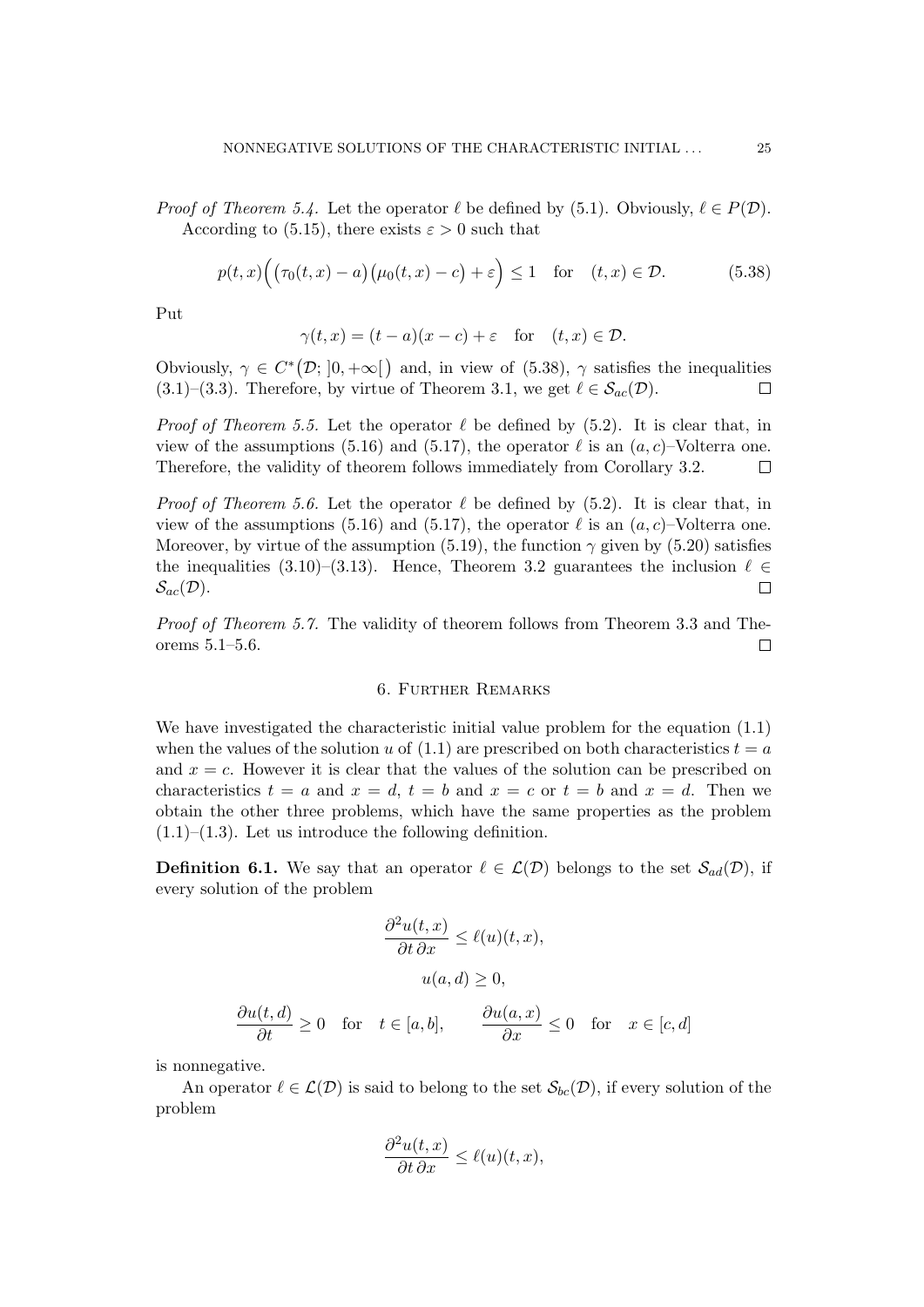*Proof of Theorem 5.4.* Let the operator  $\ell$  be defined by (5.1). Obviously,  $\ell \in P(\mathcal{D})$ . According to (5.15), there exists  $\varepsilon > 0$  such that

$$
p(t,x)\Big(\big(\tau_0(t,x)-a\big)\big(\mu_0(t,x)-c\big)+\varepsilon\Big)\leq 1 \quad \text{for} \quad (t,x)\in\mathcal{D}.\tag{5.38}
$$

Put

$$
\gamma(t, x) = (t - a)(x - c) + \varepsilon \quad \text{for} \quad (t, x) \in \mathcal{D}.
$$

Obviously,  $\gamma \in C^*(\mathcal{D}; [0, +\infty])$  and, in view of (5.38),  $\gamma$  satisfies the inequalities (3.1)–(3.3). Therefore, by virtue of Theorem 3.1, we get  $\ell \in \mathcal{S}_{ac}(\mathcal{D})$ .  $\Box$ 

*Proof of Theorem 5.5.* Let the operator  $\ell$  be defined by (5.2). It is clear that, in view of the assumptions (5.16) and (5.17), the operator  $\ell$  is an  $(a, c)$ –Volterra one. Therefore, the validity of theorem follows immediately from Corollary 3.2.  $\Box$ 

*Proof of Theorem 5.6.* Let the operator  $\ell$  be defined by (5.2). It is clear that, in view of the assumptions (5.16) and (5.17), the operator  $\ell$  is an  $(a, c)$ –Volterra one. Moreover, by virtue of the assumption (5.19), the function  $\gamma$  given by (5.20) satisfies the inequalities (3.10)–(3.13). Hence, Theorem 3.2 guarantees the inclusion  $\ell \in$  $\mathcal{S}_{ac}(\mathcal{D}).$  $\Box$ 

Proof of Theorem 5.7. The validity of theorem follows from Theorem 3.3 and Theorems 5.1–5.6.  $\Box$ 

#### 6. Further Remarks

We have investigated the characteristic initial value problem for the equation (1.1) when the values of the solution u of  $(1.1)$  are prescribed on both characteristics  $t = a$ and  $x = c$ . However it is clear that the values of the solution can be prescribed on characteristics  $t = a$  and  $x = d$ ,  $t = b$  and  $x = c$  or  $t = b$  and  $x = d$ . Then we obtain the other three problems, which have the same properties as the problem  $(1.1)$ – $(1.3)$ . Let us introduce the following definition.

**Definition 6.1.** We say that an operator  $\ell \in \mathcal{L}(\mathcal{D})$  belongs to the set  $\mathcal{S}_{ad}(\mathcal{D})$ , if every solution of the problem

$$
\frac{\partial^2 u(t, x)}{\partial t \partial x} \le \ell(u)(t, x),
$$

$$
u(a, d) \ge 0,
$$

$$
\frac{\partial u(t, d)}{\partial t} \ge 0 \quad \text{for} \quad t \in [a, b], \qquad \frac{\partial u(a, x)}{\partial x} \le 0 \quad \text{for} \quad x \in [c, d]
$$

is nonnegative.

An operator  $\ell \in \mathcal{L}(\mathcal{D})$  is said to belong to the set  $\mathcal{S}_{bc}(\mathcal{D})$ , if every solution of the problem

$$
\frac{\partial^2 u(t,x)}{\partial t \, \partial x} \le \ell(u)(t,x),
$$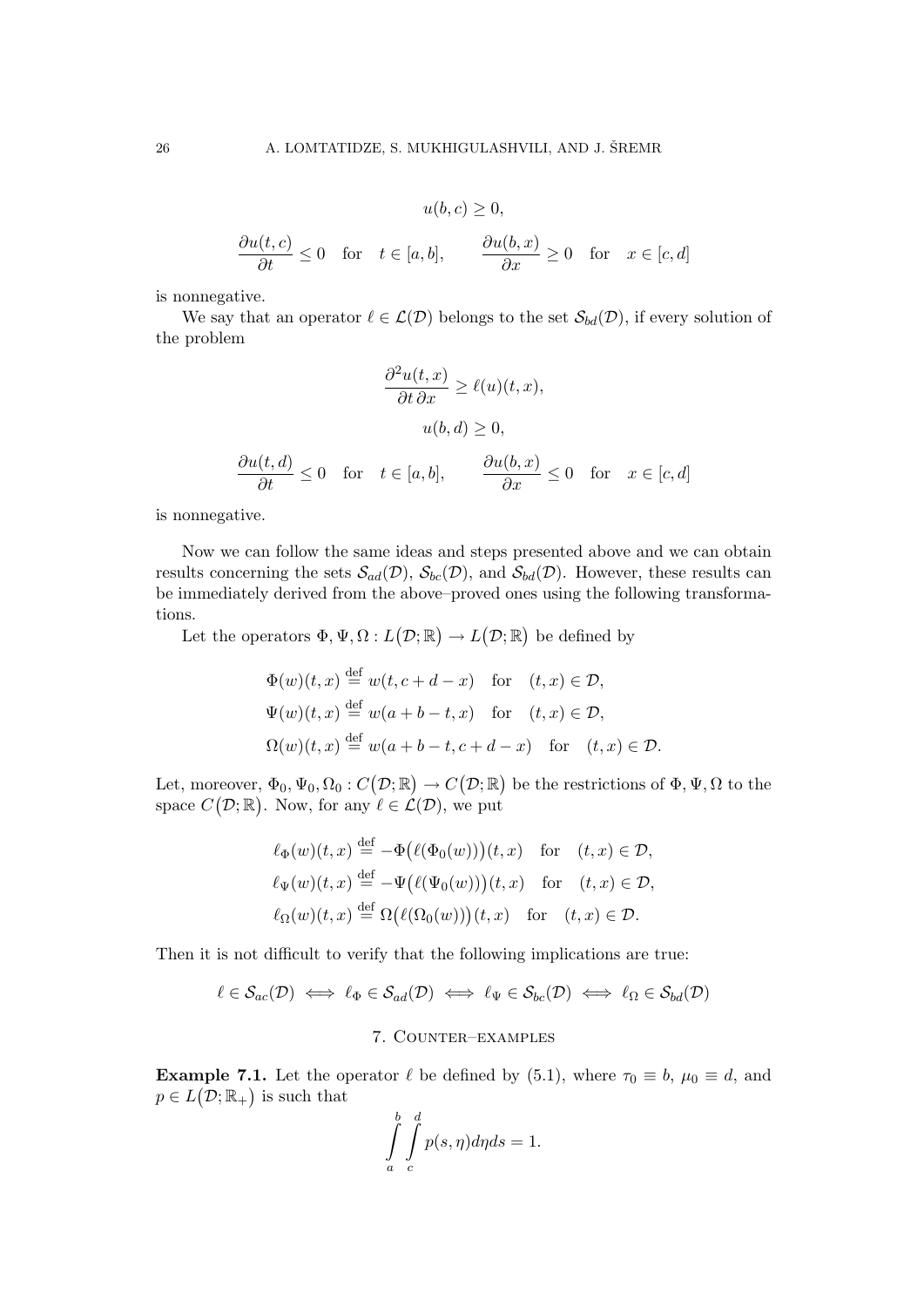$$
u(b,c) \ge 0,
$$
  
\n
$$
\frac{\partial u(t,c)}{\partial t} \le 0 \quad \text{for} \quad t \in [a,b], \qquad \frac{\partial u(b,x)}{\partial x} \ge 0 \quad \text{for} \quad x \in [c,d]
$$

is nonnegative.

We say that an operator  $\ell \in \mathcal{L}(\mathcal{D})$  belongs to the set  $\mathcal{S}_{bd}(\mathcal{D})$ , if every solution of the problem

$$
\frac{\partial^2 u(t, x)}{\partial t \partial x} \ge \ell(u)(t, x),
$$

$$
u(b, d) \ge 0,
$$

$$
\frac{\partial u(t, d)}{\partial t} \le 0 \quad \text{for} \quad t \in [a, b], \qquad \frac{\partial u(b, x)}{\partial x} \le 0 \quad \text{for} \quad x \in [c, d]
$$

is nonnegative.

Now we can follow the same ideas and steps presented above and we can obtain results concerning the sets  $\mathcal{S}_{ad}(\mathcal{D}), \mathcal{S}_{bc}(\mathcal{D}),$  and  $\mathcal{S}_{bd}(\mathcal{D})$ . However, these results can be immediately derived from the above–proved ones using the following transformations.

Let the operators  $\Phi, \Psi, \Omega: L(\mathcal{D}; \mathbb{R}) \to L(\mathcal{D}; \mathbb{R})$  be defined by

$$
\Phi(w)(t, x) \stackrel{\text{def}}{=} w(t, c + d - x) \quad \text{for} \quad (t, x) \in \mathcal{D},
$$
  

$$
\Psi(w)(t, x) \stackrel{\text{def}}{=} w(a + b - t, x) \quad \text{for} \quad (t, x) \in \mathcal{D},
$$
  

$$
\Omega(w)(t, x) \stackrel{\text{def}}{=} w(a + b - t, c + d - x) \quad \text{for} \quad (t, x) \in \mathcal{D}.
$$

Let, moreover,  $\Phi_0, \Psi_0, \Omega_0 : C(\mathcal{D}; \mathbb{R}) \to C(\mathcal{D}; \mathbb{R})$  be the restrictions of  $\Phi, \Psi, \Omega$  to the space  $C(\mathcal{D}; \mathbb{R})$ . Now, for any  $\ell \in \mathcal{L}(\mathcal{D})$ , we put

$$
\ell_{\Phi}(w)(t,x) \stackrel{\text{def}}{=} -\Phi\big(\ell(\Phi_0(w))\big)(t,x) \quad \text{for} \quad (t,x) \in \mathcal{D},
$$
  

$$
\ell_{\Psi}(w)(t,x) \stackrel{\text{def}}{=} -\Psi\big(\ell(\Psi_0(w))\big)(t,x) \quad \text{for} \quad (t,x) \in \mathcal{D},
$$
  

$$
\ell_{\Omega}(w)(t,x) \stackrel{\text{def}}{=} \Omega\big(\ell(\Omega_0(w))\big)(t,x) \quad \text{for} \quad (t,x) \in \mathcal{D}.
$$

Then it is not difficult to verify that the following implications are true:

$$
\ell \in \mathcal{S}_{ac}(\mathcal{D}) \iff \ell_{\Phi} \in \mathcal{S}_{ad}(\mathcal{D}) \iff \ell_{\Psi} \in \mathcal{S}_{bc}(\mathcal{D}) \iff \ell_{\Omega} \in \mathcal{S}_{bd}(\mathcal{D})
$$

#### 7. Counter–examples

**Example 7.1.** Let the operator  $\ell$  be defined by (5.1), where  $\tau_0 \equiv b$ ,  $\mu_0 \equiv d$ , and  $p \in L(\mathcal{D}; \mathbb{R}_+)$  is such that

$$
\int_{a}^{b} \int_{c}^{d} p(s, \eta) d\eta ds = 1.
$$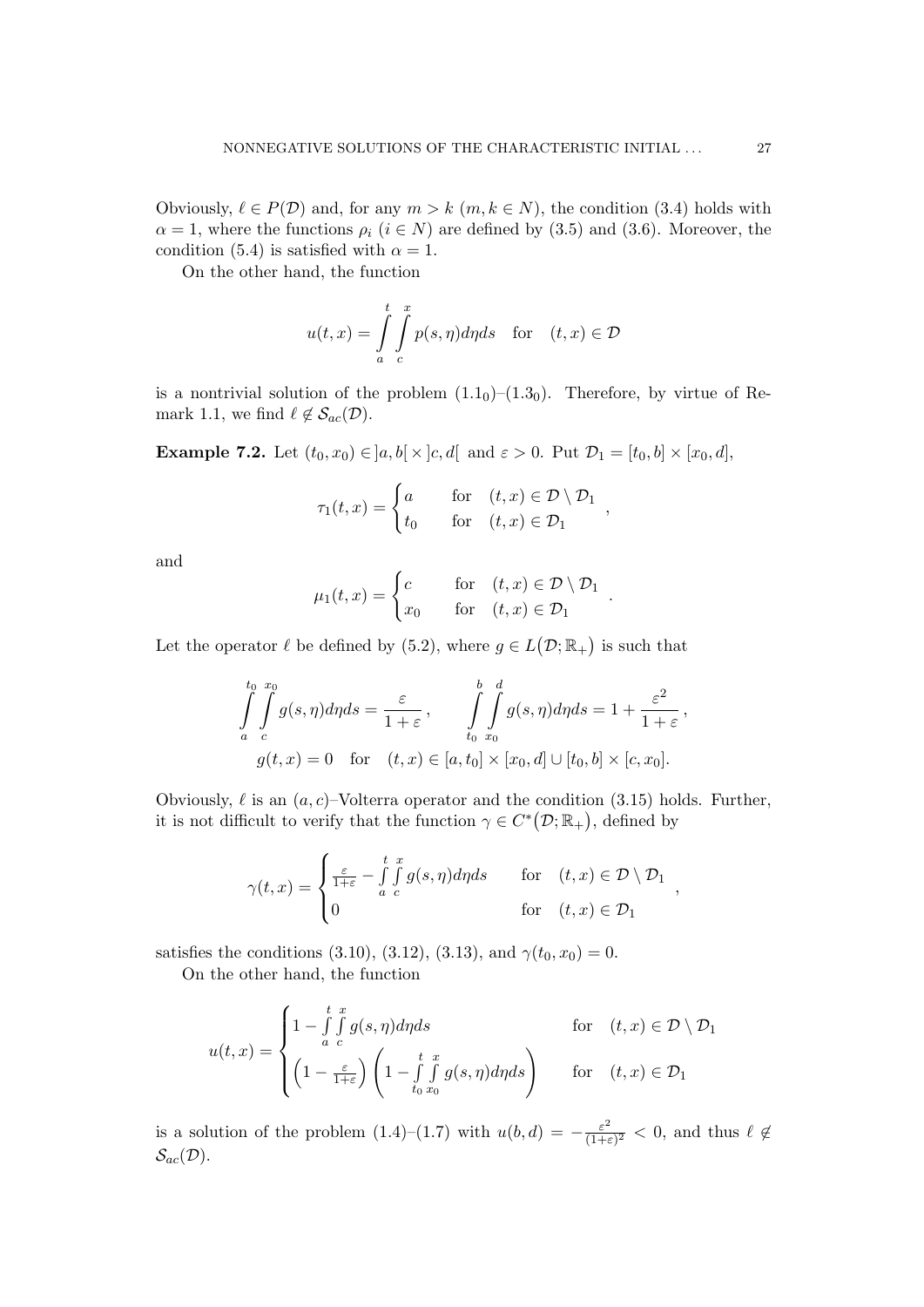Obviously,  $\ell \in P(\mathcal{D})$  and, for any  $m > k$   $(m, k \in N)$ , the condition (3.4) holds with  $\alpha = 1$ , where the functions  $\rho_i$   $(i \in N)$  are defined by (3.5) and (3.6). Moreover, the condition (5.4) is satisfied with  $\alpha = 1$ .

On the other hand, the function

$$
u(t,x) = \int_{a}^{t} \int_{c}^{x} p(s,\eta)d\eta ds \quad \text{for} \quad (t,x) \in \mathcal{D}
$$

is a nontrivial solution of the problem  $(1.1<sub>0</sub>)-(1.3<sub>0</sub>)$ . Therefore, by virtue of Remark 1.1, we find  $\ell \notin \mathcal{S}_{ac}(\mathcal{D})$ .

**Example 7.2.** Let  $(t_0, x_0) \in ]a, b[ \times ]c, d[$  and  $\varepsilon > 0$ . Put  $\mathcal{D}_1 = [t_0, b] \times [x_0, d]$ ,

$$
\tau_1(t,x) = \begin{cases}\na & \text{for} \quad (t,x) \in \mathcal{D} \setminus \mathcal{D}_1 \\
t_0 & \text{for} \quad (t,x) \in \mathcal{D}_1\n\end{cases}
$$

and

$$
\mu_1(t,x) = \begin{cases} c & \text{for} \quad (t,x) \in \mathcal{D} \setminus \mathcal{D}_1 \\ x_0 & \text{for} \quad (t,x) \in \mathcal{D}_1 \end{cases}.
$$

Let the operator  $\ell$  be defined by (5.2), where  $g \in L(\mathcal{D}; \mathbb{R}_+)$  is such that

$$
\int_{a}^{t_0} \int_{c}^{x_0} g(s, \eta) d\eta ds = \frac{\varepsilon}{1+\varepsilon}, \qquad \int_{t_0}^{b} \int_{x_0}^{d} g(s, \eta) d\eta ds = 1 + \frac{\varepsilon^2}{1+\varepsilon},
$$

$$
g(t, x) = 0 \quad \text{for} \quad (t, x) \in [a, t_0] \times [x_0, d] \cup [t_0, b] \times [c, x_0].
$$

Obviously,  $\ell$  is an  $(a, c)$ –Volterra operator and the condition (3.15) holds. Further, it is not difficult to verify that the function  $\gamma \in C^*(\mathcal{D}; \mathbb{R}_+)$ , defined by

$$
\gamma(t,x) = \begin{cases} \frac{\varepsilon}{1+\varepsilon} - \int\limits_a^t \int\limits_c^x g(s,\eta) d\eta ds & \text{for} \quad (t,x) \in \mathcal{D} \setminus \mathcal{D}_1 \\ 0 & \text{for} \quad (t,x) \in \mathcal{D}_1 \end{cases}
$$

satisfies the conditions (3.10), (3.12), (3.13), and  $\gamma(t_0, x_0) = 0$ .

On the other hand, the function

$$
u(t,x) = \begin{cases} 1 - \int_{a}^{t} \int_{c}^{x} g(s,\eta) d\eta ds & \text{for} \quad (t,x) \in \mathcal{D} \setminus \mathcal{D}_1 \\ \left(1 - \frac{\varepsilon}{1+\varepsilon}\right) \left(1 - \int_{t_0}^{t} \int_{x_0}^{x} g(s,\eta) d\eta ds\right) & \text{for} \quad (t,x) \in \mathcal{D}_1 \end{cases}
$$

is a solution of the problem  $(1.4)$ – $(1.7)$  with  $u(b,d) = -\frac{\varepsilon^2}{(1+a)}$  $\frac{\varepsilon^2}{(1+\varepsilon)^2} < 0$ , and thus  $\ell \notin$  $\mathcal{S}_{ac}(\mathcal{D}).$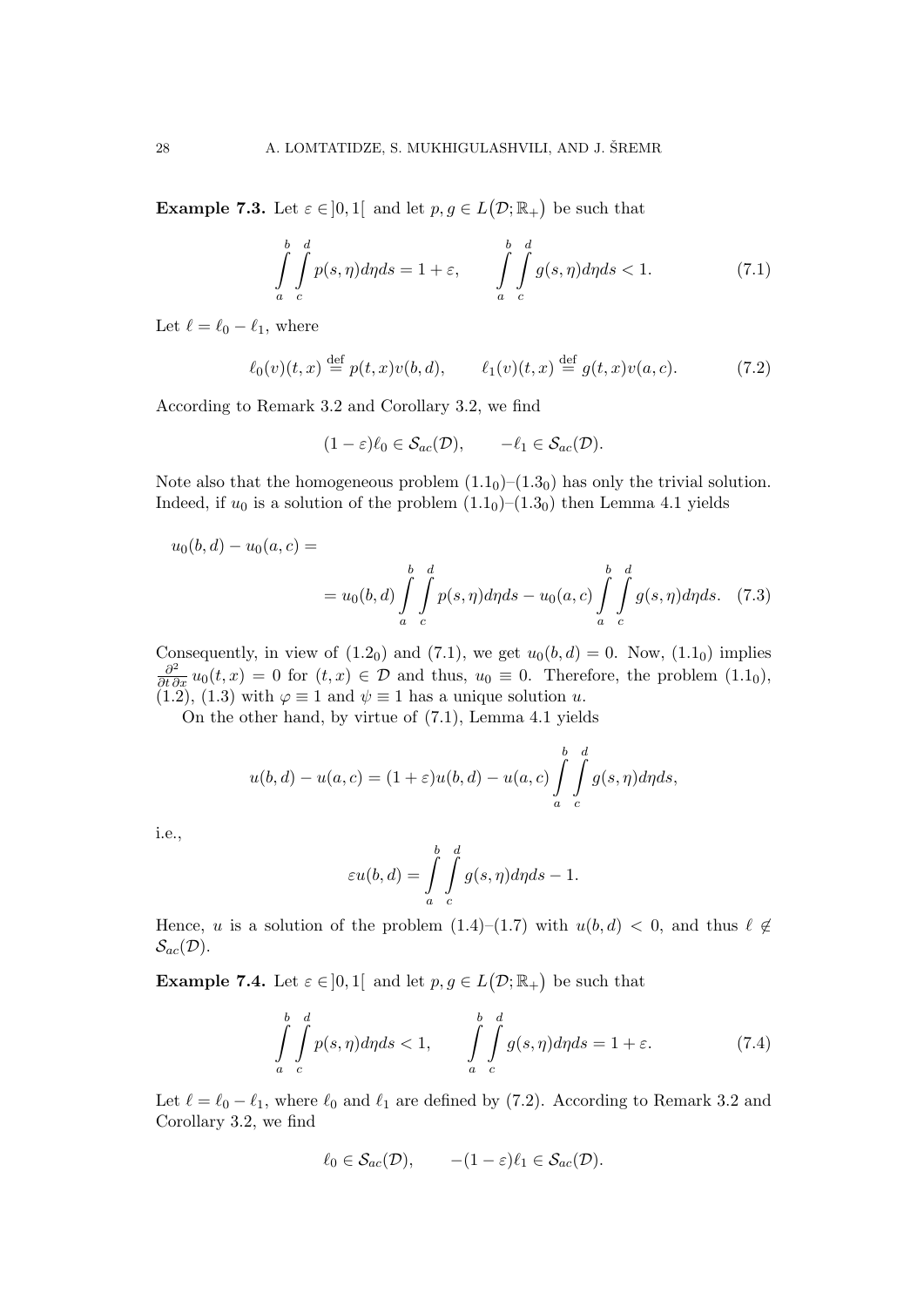**Example 7.3.** Let  $\varepsilon \in ]0,1[$  and let  $p, g \in L(\mathcal{D}; \mathbb{R}_+)$  be such that

$$
\int_{a}^{b} \int_{c}^{d} p(s, \eta) d\eta ds = 1 + \varepsilon, \qquad \int_{a}^{b} \int_{c}^{d} g(s, \eta) d\eta ds < 1.
$$
 (7.1)

Let  $\ell = \ell_0 - \ell_1$ , where

$$
\ell_0(v)(t,x) \stackrel{\text{def}}{=} p(t,x)v(b,d), \qquad \ell_1(v)(t,x) \stackrel{\text{def}}{=} g(t,x)v(a,c). \tag{7.2}
$$

According to Remark 3.2 and Corollary 3.2, we find

$$
(1 - \varepsilon)\ell_0 \in \mathcal{S}_{ac}(\mathcal{D}), \qquad -\ell_1 \in \mathcal{S}_{ac}(\mathcal{D}).
$$

Note also that the homogeneous problem  $(1.1<sub>0</sub>)-(1.3<sub>0</sub>)$  has only the trivial solution. Indeed, if  $u_0$  is a solution of the problem  $(1.1<sub>0</sub>)-(1.3<sub>0</sub>)$  then Lemma 4.1 yields

$$
u_0(b,d) - u_0(a,c) =
$$
  
=  $u_0(b,d) \int_a^b \int_c^d p(s,\eta) d\eta ds - u_0(a,c) \int_a^b \int_c^d g(s,\eta) d\eta ds.$  (7.3)

Consequently, in view of  $(1.2_0)$  and  $(7.1)$ , we get  $u_0(b, d) = 0$ . Now,  $(1.1_0)$  implies  $\frac{\partial^2}{\partial t \partial x} u_0(t, x) = 0$  for  $(t, x) \in \mathcal{D}$  and thus,  $u_0 \equiv 0$ . Therefore, the problem  $(1.1_0)$ , (1.2), (1.3) with  $\varphi \equiv 1$  and  $\psi \equiv 1$  has a unique solution u.

On the other hand, by virtue of (7.1), Lemma 4.1 yields

$$
u(b,d) - u(a,c) = (1+\varepsilon)u(b,d) - u(a,c)\int_a^b \int_c^d g(s,\eta)d\eta ds,
$$

i.e.,

$$
\varepsilon u(b,d) = \int\limits_{a}^{b} \int\limits_{c}^{d} g(s,\eta) d\eta ds - 1.
$$

Hence, u is a solution of the problem  $(1.4)–(1.7)$  with  $u(b, d) < 0$ , and thus  $\ell \notin$  $\mathcal{S}_{ac}(\mathcal{D}).$ 

**Example 7.4.** Let  $\varepsilon \in ]0,1[$  and let  $p, g \in L(\mathcal{D}; \mathbb{R}_+)$  be such that

$$
\int_{a}^{b} \int_{c}^{d} p(s, \eta) d\eta ds < 1, \qquad \int_{a}^{b} \int_{c}^{d} g(s, \eta) d\eta ds = 1 + \varepsilon.
$$
 (7.4)

Let  $\ell = \ell_0 - \ell_1$ , where  $\ell_0$  and  $\ell_1$  are defined by (7.2). According to Remark 3.2 and Corollary 3.2, we find

$$
\ell_0 \in \mathcal{S}_{ac}(\mathcal{D}), \qquad -(1-\varepsilon)\ell_1 \in \mathcal{S}_{ac}(\mathcal{D}).
$$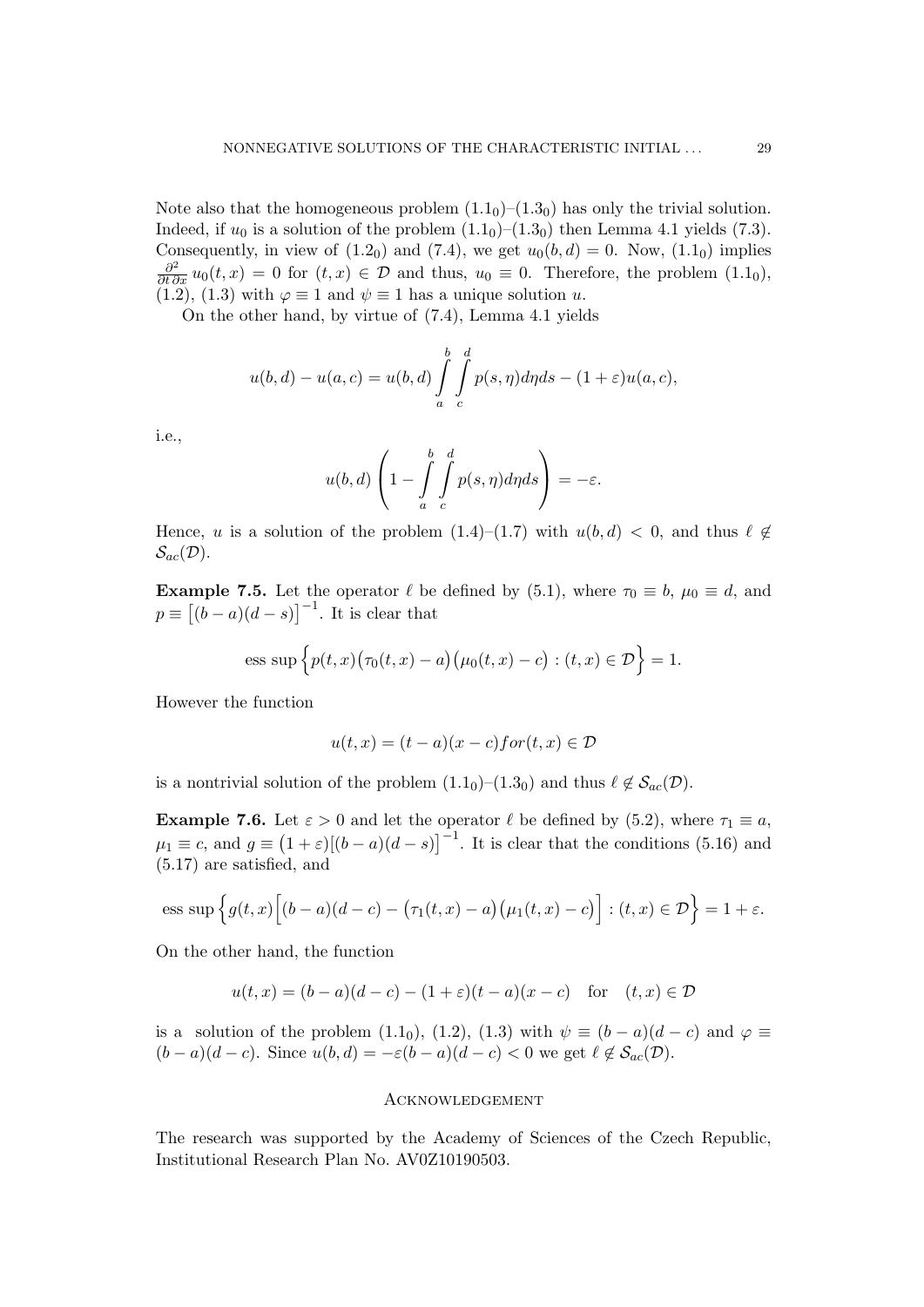Note also that the homogeneous problem  $(1.1<sub>0</sub>)-(1.3<sub>0</sub>)$  has only the trivial solution. Indeed, if  $u_0$  is a solution of the problem  $(1.1<sub>0</sub>)-(1.3<sub>0</sub>)$  then Lemma 4.1 yields (7.3). Consequently, in view of  $(1.2<sub>0</sub>)$  and  $(7.4)$ , we get  $u<sub>0</sub>(b, d) = 0$ . Now,  $(1.1<sub>0</sub>)$  implies  $\frac{\partial^2}{\partial t \partial x} u_0(t, x) = 0$  for  $(t, x) \in \mathcal{D}$  and thus,  $u_0 \equiv 0$ . Therefore, the problem  $(1.1_0)$ , (1.2), (1.3) with  $\varphi \equiv 1$  and  $\psi \equiv 1$  has a unique solution u.

On the other hand, by virtue of (7.4), Lemma 4.1 yields

$$
u(b,d) - u(a,c) = u(b,d) \int_{a}^{b} \int_{c}^{d} p(s,\eta) d\eta ds - (1+\varepsilon)u(a,c),
$$

i.e.,

$$
u(b,d)\left(1-\int\limits_{a}^{b}\int\limits_{c}^{d}p(s,\eta)d\eta ds\right)=-\varepsilon.
$$

Hence, u is a solution of the problem  $(1.4)–(1.7)$  with  $u(b, d) < 0$ , and thus  $\ell \notin$  $\mathcal{S}_{ac}(\mathcal{D}).$ 

**Example 7.5.** Let the operator  $\ell$  be defined by (5.1), where  $\tau_0 \equiv b$ ,  $\mu_0 \equiv d$ , and  $p \equiv [(b-a)(d-s)]^{-1}$ . It is clear that

ess sup 
$$
\{p(t,x)(\tau_0(t,x) - a)(\mu_0(t,x) - c) : (t,x) \in \mathcal{D}\} = 1.
$$

However the function

$$
u(t,x) = (t-a)(x-c) \text{for}(t,x) \in \mathcal{D}
$$

is a nontrivial solution of the problem  $(1.1<sub>0</sub>)-(1.3<sub>0</sub>)$  and thus  $\ell \notin S_{ac}(\mathcal{D})$ .

**Example 7.6.** Let  $\varepsilon > 0$  and let the operator  $\ell$  be defined by (5.2), where  $\tau_1 \equiv a$ ,  $\mu_1 \equiv c$ , and  $g \equiv (1 + \varepsilon)[(b - a)(d - s)]^{-1}$ . It is clear that the conditions (5.16) and (5.17) are satisfied, and

ess sup 
$$
\left\{ g(t,x) \left[ (b-a)(d-c) - (\tau_1(t,x) - a) (\mu_1(t,x) - c) \right] : (t,x) \in \mathcal{D} \right\} = 1 + \varepsilon.
$$

On the other hand, the function

$$
u(t,x) = (b-a)(d-c) - (1+\varepsilon)(t-a)(x-c)
$$
 for  $(t,x) \in \mathcal{D}$ 

is a solution of the problem  $(1.1_0)$ ,  $(1.2)$ ,  $(1.3)$  with  $\psi \equiv (b-a)(d-c)$  and  $\varphi \equiv$  $(b-a)(d-c)$ . Since  $u(b,d) = -\varepsilon(b-a)(d-c) < 0$  we get  $\ell \notin S_{ac}(\mathcal{D})$ .

#### **ACKNOWLEDGEMENT**

The research was supported by the Academy of Sciences of the Czech Republic, Institutional Research Plan No. AV0Z10190503.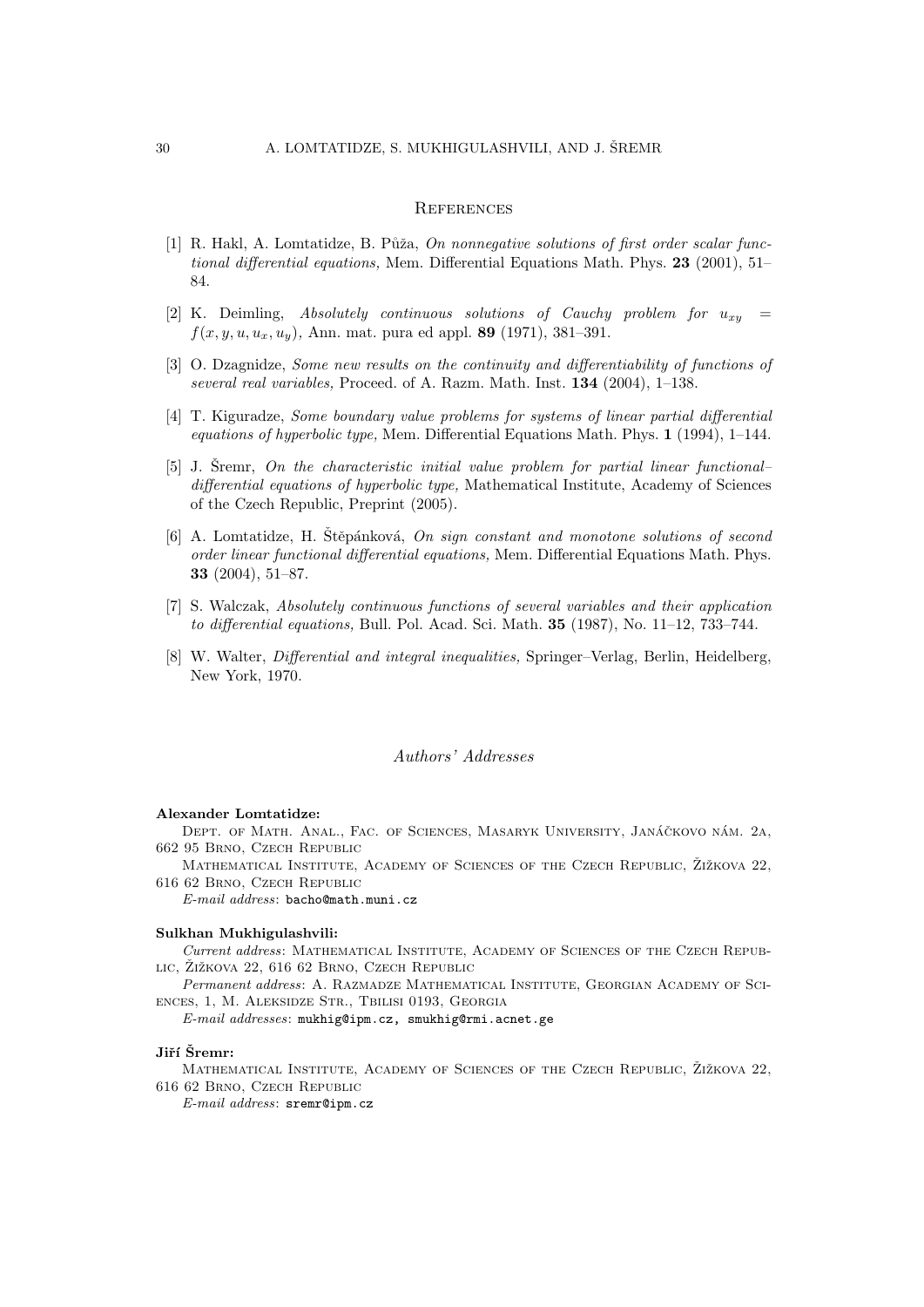#### **REFERENCES**

- [1] R. Hakl, A. Lomtatidze, B. Půža, On nonnegative solutions of first order scalar functional differential equations, Mem. Differential Equations Math. Phys. 23 (2001), 51– 84.
- [2] K. Deimling, Absolutely continuous solutions of Cauchy problem for  $u_{xy}$  =  $f(x, y, u, u_x, u_y)$ , Ann. mat. pura ed appl. 89 (1971), 381–391.
- [3] O. Dzagnidze, Some new results on the continuity and differentiability of functions of several real variables, Proceed. of A. Razm. Math. Inst. 134 (2004), 1-138.
- [4] T. Kiguradze, Some boundary value problems for systems of linear partial differential equations of hyperbolic type, Mem. Differential Equations Math. Phys. 1 (1994), 1–144.
- $[5]$  J. Sremr, On the characteristic initial value problem for partial linear functional– differential equations of hyperbolic type, Mathematical Institute, Academy of Sciences of the Czech Republic, Preprint (2005).
- [6] A. Lomtatidze, H. Stěpánková, On sign constant and monotone solutions of second order linear functional differential equations, Mem. Differential Equations Math. Phys. 33 (2004), 51–87.
- [7] S. Walczak, Absolutely continuous functions of several variables and their application to differential equations, Bull. Pol. Acad. Sci. Math. 35 (1987), No. 11–12, 733–744.
- [8] W. Walter, *Differential and integral inequalities*, Springer–Verlag, Berlin, Heidelberg, New York, 1970.

#### Authors' Addresses

#### Alexander Lomtatidze:

DEPT. OF MATH. ANAL., FAC. OF SCIENCES, MASARYK UNIVERSITY, JANÁČKOVO NÁM. 2A, 662 95 Brno, Czech Republic

MATHEMATICAL INSTITUTE, ACADEMY OF SCIENCES OF THE CZECH REPUBLIC, ZIŽKOVA 22, 616 62 Brno, Czech Republic

E-mail address: bacho@math.muni.cz

#### Sulkhan Mukhigulashvili:

Current address: Mathematical Institute, Academy of Sciences of the Czech Repub-LIC, ŽIŽKOVA 22, 616 62 BRNO, CZECH REPUBLIC

Permanent address: A. RAZMADZE MATHEMATICAL INSTITUTE, GEORGIAN ACADEMY OF SCIences, 1, M. Aleksidze Str., Tbilisi 0193, Georgia

E-mail addresses: mukhig@ipm.cz, smukhig@rmi.acnet.ge

#### Jiří Šremr:

MATHEMATICAL INSTITUTE, ACADEMY OF SCIENCES OF THE CZECH REPUBLIC, ŽIŽKOVA 22, 616 62 Brno, Czech Republic

E-mail address: sremr@ipm.cz